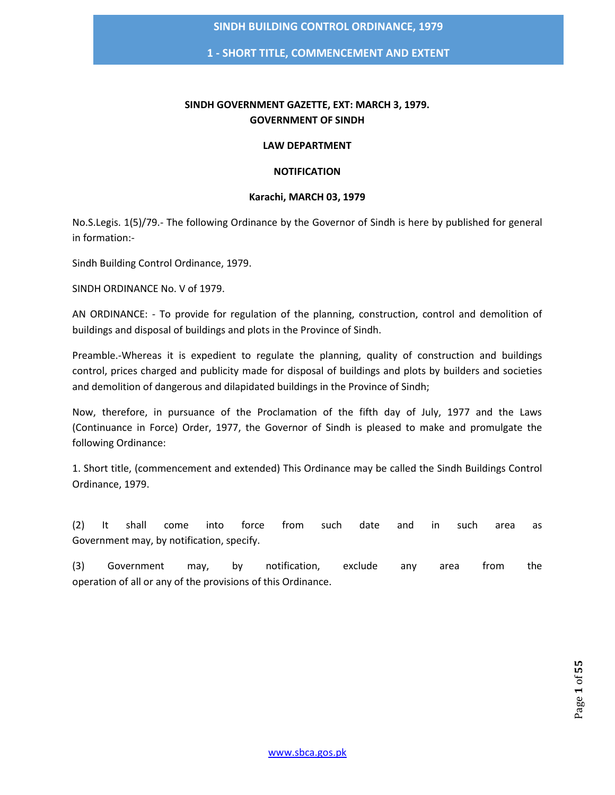**1 - SHORT TITLE, COMMENCEMENT AND EXTENT**

## **SINDH GOVERNMENT GAZETTE, EXT: MARCH 3, 1979. GOVERNMENT OF SINDH**

#### **LAW DEPARTMENT**

#### **NOTIFICATION**

## **Karachi, MARCH 03, 1979**

No.S.Legis. 1(5)/79.- The following Ordinance by the Governor of Sindh is here by published for general in formation:-

Sindh Building Control Ordinance, 1979.

SINDH ORDINANCE No. V of 1979.

AN ORDINANCE: - To provide for regulation of the planning, construction, control and demolition of buildings and disposal of buildings and plots in the Province of Sindh.

Preamble.-Whereas it is expedient to regulate the planning, quality of construction and buildings control, prices charged and publicity made for disposal of buildings and plots by builders and societies and demolition of dangerous and dilapidated buildings in the Province of Sindh;

Now, therefore, in pursuance of the Proclamation of the fifth day of July, 1977 and the Laws (Continuance in Force) Order, 1977, the Governor of Sindh is pleased to make and promulgate the following Ordinance:

1. Short title, (commencement and extended) This Ordinance may be called the Sindh Buildings Control Ordinance, 1979.

(2) It shall come into force from such date and in such area as Government may, by notification, specify.

(3) Government may, by notification, exclude any area from the operation of all or any of the provisions of this Ordinance.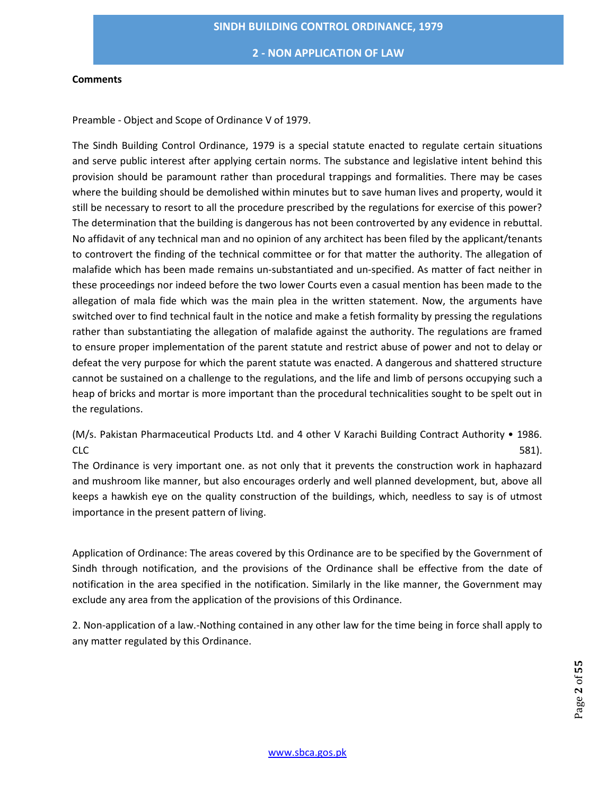**2 - NON APPLICATION OF LAW**

#### **Comments**

Preamble - Object and Scope of Ordinance V of 1979.

The Sindh Building Control Ordinance, 1979 is a special statute enacted to regulate certain situations and serve public interest after applying certain norms. The substance and legislative intent behind this provision should be paramount rather than procedural trappings and formalities. There may be cases where the building should be demolished within minutes but to save human lives and property, would it still be necessary to resort to all the procedure prescribed by the regulations for exercise of this power? The determination that the building is dangerous has not been controverted by any evidence in rebuttal. No affidavit of any technical man and no opinion of any architect has been filed by the applicant/tenants to controvert the finding of the technical committee or for that matter the authority. The allegation of malafide which has been made remains un-substantiated and un-specified. As matter of fact neither in these proceedings nor indeed before the two lower Courts even a casual mention has been made to the allegation of mala fide which was the main plea in the written statement. Now, the arguments have switched over to find technical fault in the notice and make a fetish formality by pressing the regulations rather than substantiating the allegation of malafide against the authority. The regulations are framed to ensure proper implementation of the parent statute and restrict abuse of power and not to delay or defeat the very purpose for which the parent statute was enacted. A dangerous and shattered structure cannot be sustained on a challenge to the regulations, and the life and limb of persons occupying such a heap of bricks and mortar is more important than the procedural technicalities sought to be spelt out in the regulations.

(M/s. Pakistan Pharmaceutical Products Ltd. and 4 other V Karachi Building Contract Authority • 1986.  $CLC$  581).

The Ordinance is very important one. as not only that it prevents the construction work in haphazard and mushroom like manner, but also encourages orderly and well planned development, but, above all keeps a hawkish eye on the quality construction of the buildings, which, needless to say is of utmost importance in the present pattern of living.

Application of Ordinance: The areas covered by this Ordinance are to be specified by the Government of Sindh through notification, and the provisions of the Ordinance shall be effective from the date of notification in the area specified in the notification. Similarly in the like manner, the Government may exclude any area from the application of the provisions of this Ordinance.

2. Non-application of a law.-Nothing contained in any other law for the time being in force shall apply to any matter regulated by this Ordinance.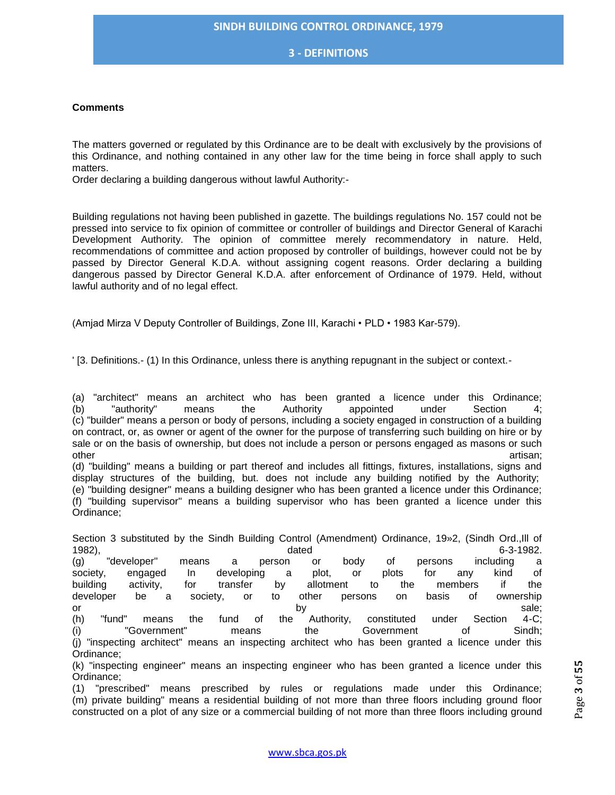**3 - DEFINITIONS**

#### **Comments**

The matters governed or regulated by this Ordinance are to be dealt with exclusively by the provisions of this Ordinance, and nothing contained in any other law for the time being in force shall apply to such matters.

Order declaring a building dangerous without lawful Authority:-

Building regulations not having been published in gazette. The buildings regulations No. 157 could not be pressed into service to fix opinion of committee or controller of buildings and Director General of Karachi Development Authority. The opinion of committee merely recommendatory in nature. Held, recommendations of committee and action proposed by controller of buildings, however could not be by passed by Director General K.D.A. without assigning cogent reasons. Order declaring a building dangerous passed by Director General K.D.A. after enforcement of Ordinance of 1979. Held, without lawful authority and of no legal effect.

(Amjad Mirza V Deputy Controller of Buildings, Zone III, Karachi • PLD • 1983 Kar-579).

' [3. Definitions.- (1) In this Ordinance, unless there is anything repugnant in the subject or context.-

(a) "architect" means an architect who has been granted a licence under this Ordinance; (b) "authority" means the Authority appointed under Section 4; (c) "builder" means a person or body of persons, including a society engaged in construction of a building on contract, or, as owner or agent of the owner for the purpose of transferring such building on hire or by sale or on the basis of ownership, but does not include a person or persons engaged as masons or such other artisan; and the control of the control of the control of the control of the control of the control of the control of the control of the control of the control of the control of the control of the control of the cont

(d) "building" means a building or part thereof and includes all fittings, fixtures, installations, signs and display structures of the building, but. does not include any building notified by the Authority; (e) "building designer" means a building designer who has been granted a licence under this Ordinance; (f) "building supervisor" means a building supervisor who has been granted a licence under this Ordinance;

Section 3 substituted by the Sindh Building Control (Amendment) Ordinance, 19»2, (Sindh Ord.,Ill of 1982), dated 6-3-1982. (g) "developer" means a person or body of persons including a society, engaged In developing a plot, or plots for any kind of building activity, for transfer by allotment to the members if the developer be a society, or to other persons on basis of ownership or the control of the control of the control of the control of the control of the control of the control of the control of the control of the control of the control of the control of the control of the control of the contr (h) "fund" means the fund of the Authority, constituted under Section 4-C; (i) "Government" means the Government of Sindh; (j) "inspecting architect" means an inspecting architect who has been granted a licence under this Ordinance;

(k) "inspecting engineer" means an inspecting engineer who has been granted a licence under this Ordinance;

(1) "prescribed" means prescribed by rules or regulations made under this Ordinance; (m) private building" means a residential building of not more than three floors including ground floor constructed on a plot of any size or a commercial building of not more than three floors including ground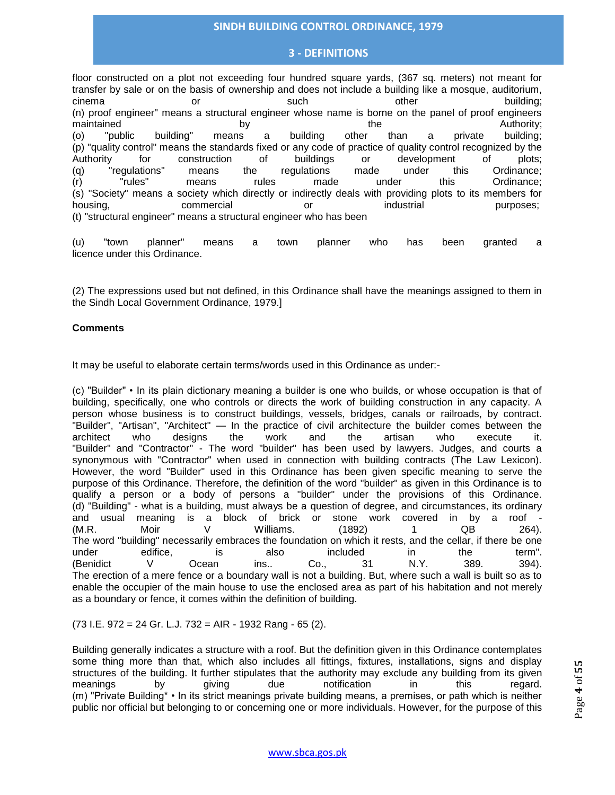## **3 - DEFINITIONS**

floor constructed on a plot not exceeding four hundred square yards, (367 sq. meters) not meant for transfer by sale or on the basis of ownership and does not include a building like a mosque, auditorium, cinema or such other building; (n) proof engineer" means a structural engineer whose name is borne on the panel of proof engineers maintained the by the the Authority; (o) "public building" means a building other than a private building; (p) "quality control" means the standards fixed or any code of practice of quality control recognized by the Authority for construction of buildings or development of plots; (q) "regulations" means the regulations made under this Ordinance; (r) "rules" means rules made under this Ordinance; (s) "Society" means a society which directly or indirectly deals with providing plots to its members for housing, commercial or industrial purposes; (t) "structural engineer" means a structural engineer who has been

(u) "town planner" means a town planner who has been granted a licence under this Ordinance.

(2) The expressions used but not defined, in this Ordinance shall have the meanings assigned to them in the Sindh Local Government Ordinance, 1979.]

#### **Comments**

It may be useful to elaborate certain terms/words used in this Ordinance as under:-

(c) "Builder" • In its plain dictionary meaning a builder is one who builds, or whose occupation is that of building, specifically, one who controls or directs the work of building construction in any capacity. A person whose business is to construct buildings, vessels, bridges, canals or railroads, by contract. "Builder", "Artisan", "Architect" — In the practice of civil architecture the builder comes between the architect who designs the work and the artisan who execute it. "Builder" and "Contractor" - The word "builder" has been used by lawyers. Judges, and courts a synonymous with "Contractor" when used in connection with building contracts (The Law Lexicon). However, the word "Builder" used in this Ordinance has been given specific meaning to serve the purpose of this Ordinance. Therefore, the definition of the word "builder" as given in this Ordinance is to qualify a person or a body of persons a "builder" under the provisions of this Ordinance. (d) "Building" - what is a building, must always be a question of degree, and circumstances, its ordinary and usual meaning is a block of brick or stone work covered in by a roof - (M.R. Moir V Williams. (1892) 1 QB 264). The word "building" necessarily embraces the foundation on which it rests, and the cellar, if there be one<br>under the term". under edifice, is also included in the term". (Benidict V Ocean ins.. Co., 31 N.Y. 389. 394). The erection of a mere fence or a boundary wall is not a building. But, where such a wall is built so as to enable the occupier of the main house to use the enclosed area as part of his habitation and not merely as a boundary or fence, it comes within the definition of building.

(73 I.E. 972 = 24 Gr. L.J. 732 = AIR - 1932 Rang - 65 (2).

Building generally indicates a structure with a roof. But the definition given in this Ordinance contemplates some thing more than that, which also includes all fittings, fixtures, installations, signs and display structures of the building. It further stipulates that the authority may exclude any building from its given meanings by giving due notification in this regard. (m) "Private Building\* • In its strict meanings private building means, a premises, or path which is neither public nor official but belonging to or concerning one or more individuals. However, for the purpose of this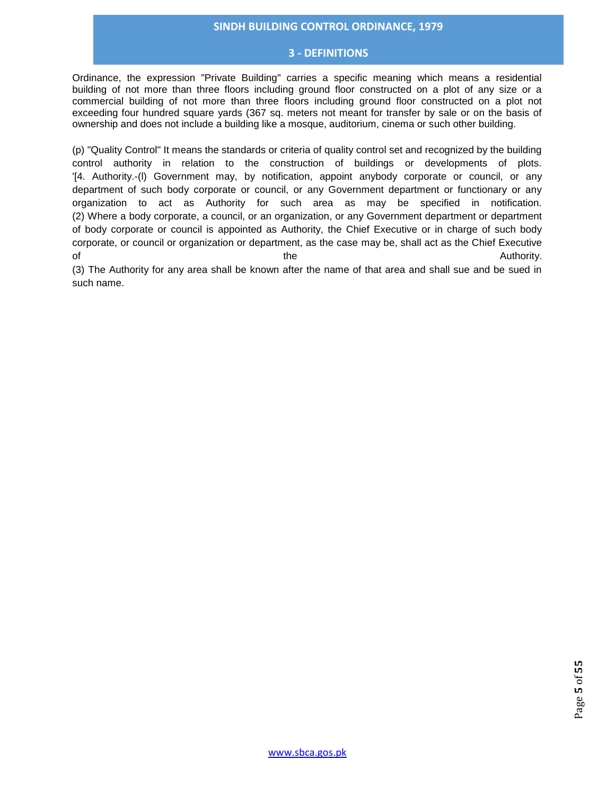#### **3 - DEFINITIONS**

Ordinance, the expression "Private Building" carries a specific meaning which means a residential building of not more than three floors including ground floor constructed on a plot of any size or a commercial building of not more than three floors including ground floor constructed on a plot not exceeding four hundred square yards (367 sq. meters not meant for transfer by sale or on the basis of ownership and does not include a building like a mosque, auditorium, cinema or such other building.

(p) "Quality Control" It means the standards or criteria of quality control set and recognized by the building control authority in relation to the construction of buildings or developments of plots. '[4. Authority.-(l) Government may, by notification, appoint anybody corporate or council, or any department of such body corporate or council, or any Government department or functionary or any organization to act as Authority for such area as may be specified in notification. (2) Where a body corporate, a council, or an organization, or any Government department or department of body corporate or council is appointed as Authority, the Chief Executive or in charge of such body corporate, or council or organization or department, as the case may be, shall act as the Chief Executive of the the according the contract of the Authority.

(3) The Authority for any area shall be known after the name of that area and shall sue and be sued in such name.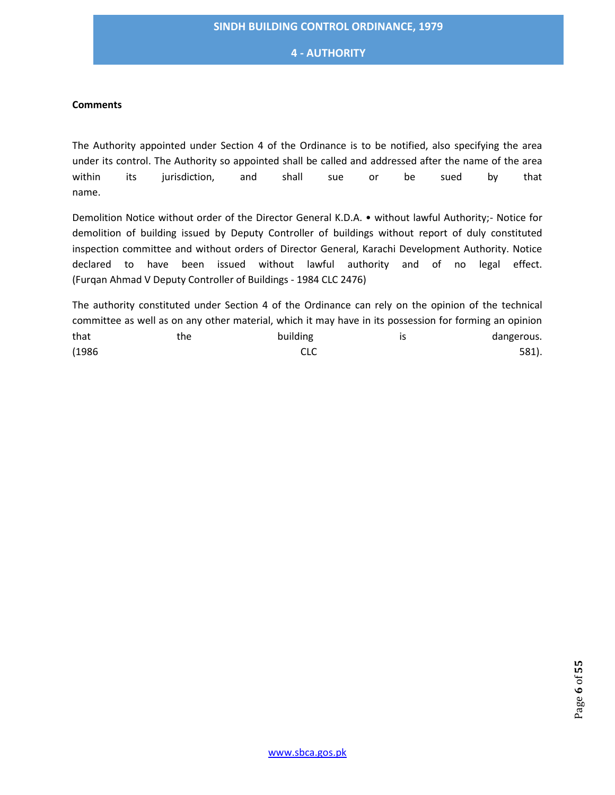## **4 - AUTHORITY**

#### **Comments**

The Authority appointed under Section 4 of the Ordinance is to be notified, also specifying the area under its control. The Authority so appointed shall be called and addressed after the name of the area within its jurisdiction, and shall sue or be sued by that name.

Demolition Notice without order of the Director General K.D.A. • without lawful Authority;- Notice for demolition of building issued by Deputy Controller of buildings without report of duly constituted inspection committee and without orders of Director General, Karachi Development Authority. Notice declared to have been issued without lawful authority and of no legal effect. (Furqan Ahmad V Deputy Controller of Buildings - 1984 CLC 2476)

The authority constituted under Section 4 of the Ordinance can rely on the opinion of the technical committee as well as on any other material, which it may have in its possession for forming an opinion that the the building is that dangerous.  $CLC$  581).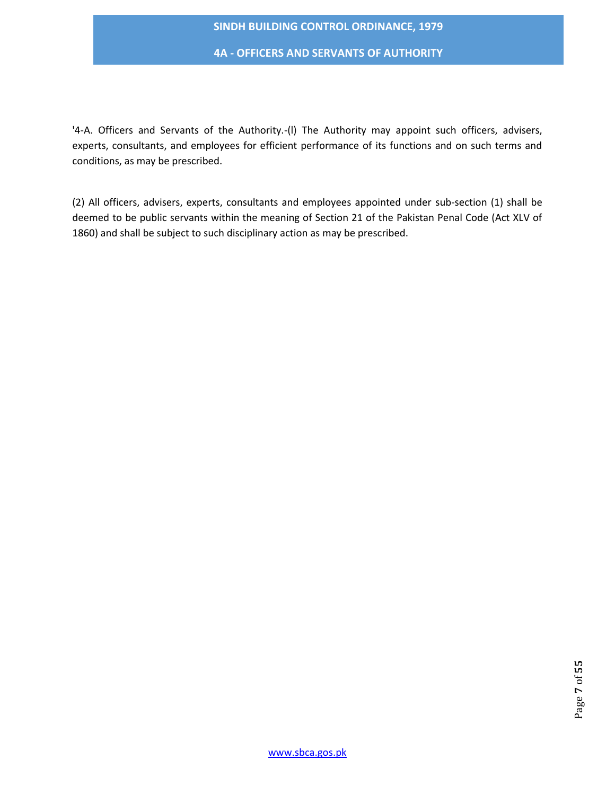**4A - OFFICERS AND SERVANTS OF AUTHORITY**

'4-A. Officers and Servants of the Authority.-(l) The Authority may appoint such officers, advisers, experts, consultants, and employees for efficient performance of its functions and on such terms and conditions, as may be prescribed.

(2) All officers, advisers, experts, consultants and employees appointed under sub-section (1) shall be deemed to be public servants within the meaning of Section 21 of the Pakistan Penal Code (Act XLV of 1860) and shall be subject to such disciplinary action as may be prescribed.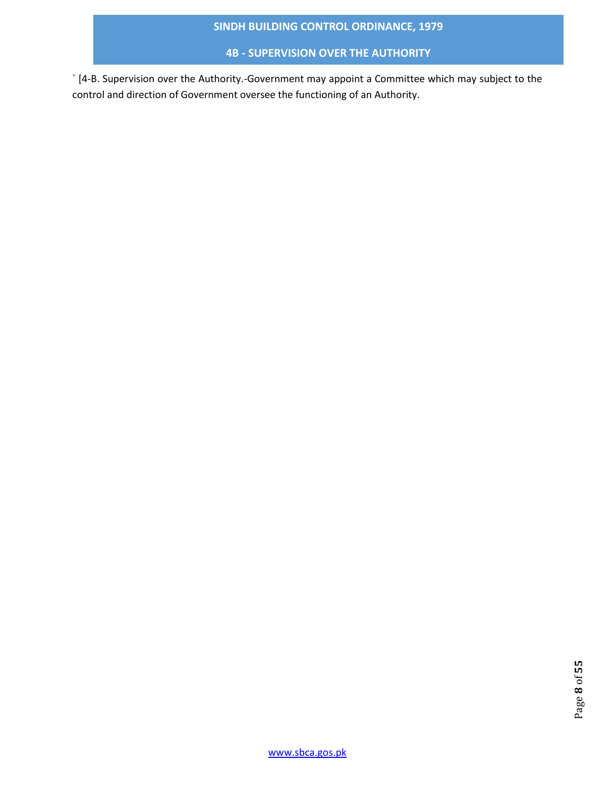# **4B - SUPERVISION OVER THE AUTHORITY**

` [4-B. Supervision over the Authority.-Government may appoint a Committee which may subject to the control and direction of Government oversee the functioning of an Authority.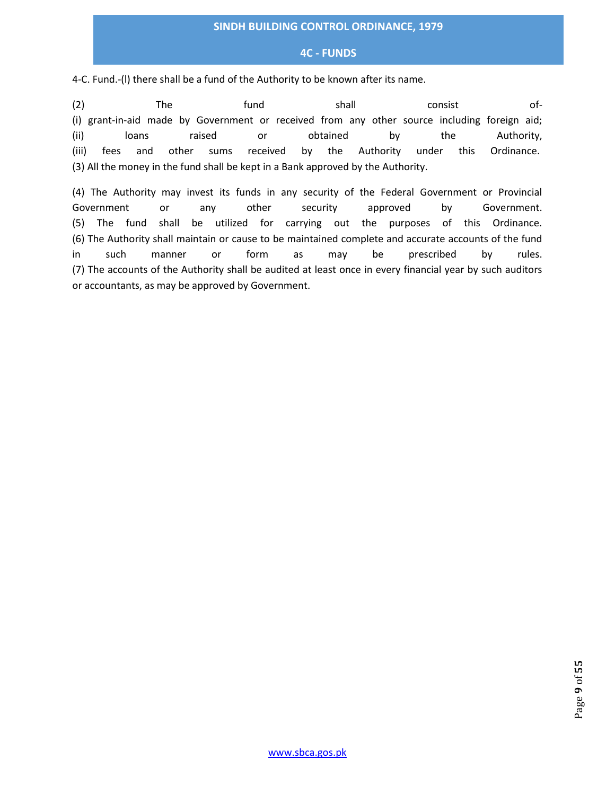## **4C - FUNDS**

4-C. Fund.-(l) there shall be a fund of the Authority to be known after its name.

(2) The fund shall consist of- (i) grant-in-aid made by Government or received from any other source including foreign aid; (ii) loans raised or obtained by the Authority, (iii) fees and other sums received by the Authority under this Ordinance. (3) All the money in the fund shall be kept in a Bank approved by the Authority.

(4) The Authority may invest its funds in any security of the Federal Government or Provincial Government or any other security approved by Government. (5) The fund shall be utilized for carrying out the purposes of this Ordinance. (6) The Authority shall maintain or cause to be maintained complete and accurate accounts of the fund in such manner or form as may be prescribed by rules. (7) The accounts of the Authority shall be audited at least once in every financial year by such auditors or accountants, as may be approved by Government.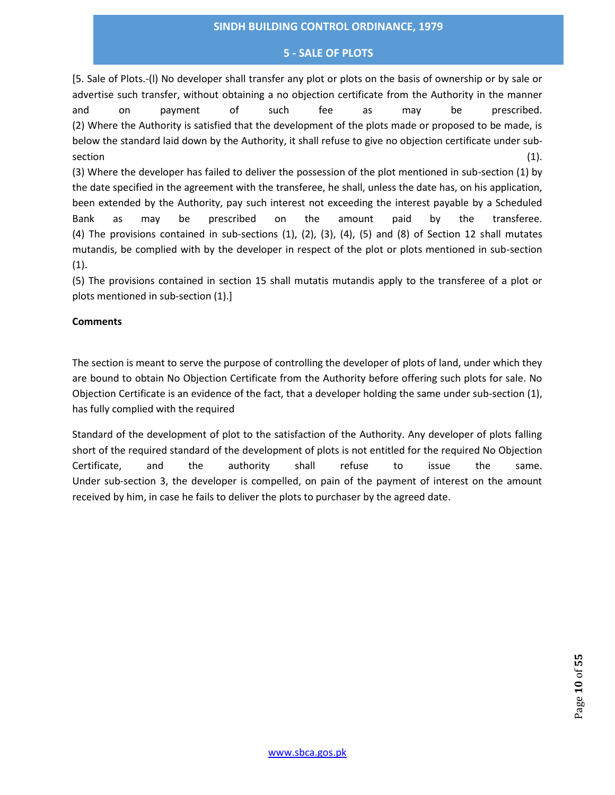## **5 - SALE OF PLOTS**

[5. Sale of Plots.-(l) No developer shall transfer any plot or plots on the basis of ownership or by sale or advertise such transfer, without obtaining a no objection certificate from the Authority in the manner and on payment of such fee as may be prescribed. (2) Where the Authority is satisfied that the development of the plots made or proposed to be made, is below the standard laid down by the Authority, it shall refuse to give no objection certificate under sub- $\sim$  section (1).  $\sim$ 

(3) Where the developer has failed to deliver the possession of the plot mentioned in sub-section (1) by the date specified in the agreement with the transferee, he shall, unless the date has, on his application, been extended by the Authority, pay such interest not exceeding the interest payable by a Scheduled Bank as may be prescribed on the amount paid by the transferee. (4) The provisions contained in sub-sections (1), (2), (3), (4), (5) and (8) of Section 12 shall mutates mutandis, be complied with by the developer in respect of the plot or plots mentioned in sub-section  $(1).$ 

(5) The provisions contained in section 15 shall mutatis mutandis apply to the transferee of a plot or plots mentioned in sub-section (1).]

## **Comments**

The section is meant to serve the purpose of controlling the developer of plots of land, under which they are bound to obtain No Objection Certificate from the Authority before offering such plots for sale. No Objection Certificate is an evidence of the fact, that a developer holding the same under sub-section (1), has fully complied with the required

Standard of the development of plot to the satisfaction of the Authority. Any developer of plots falling short of the required standard of the development of plots is not entitled for the required No Objection Certificate, and the authority shall refuse to issue the same. Under sub-section 3, the developer is compelled, on pain of the payment of interest on the amount received by him, in case he fails to deliver the plots to purchaser by the agreed date.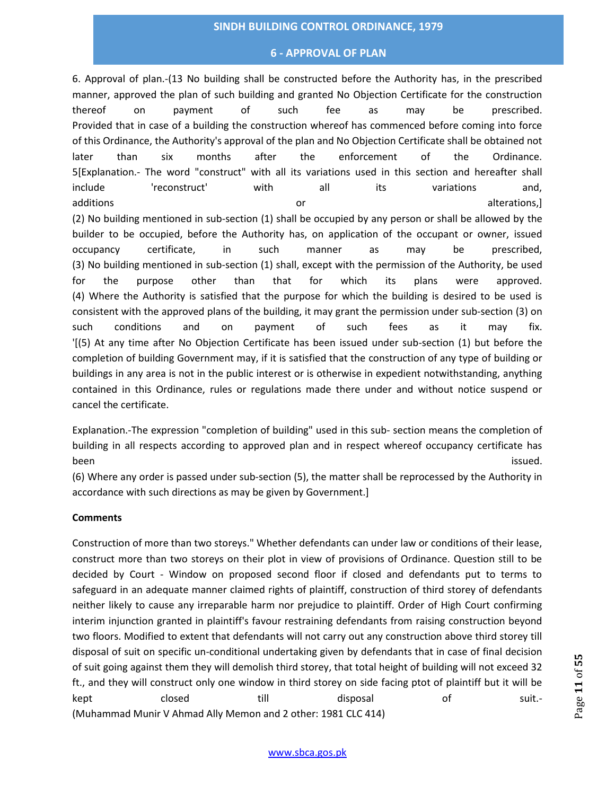## **6 - APPROVAL OF PLAN**

6. Approval of plan.-(13 No building shall be constructed before the Authority has, in the prescribed manner, approved the plan of such building and granted No Objection Certificate for the construction thereof on payment of such fee as may be prescribed. Provided that in case of a building the construction whereof has commenced before coming into force of this Ordinance, the Authority's approval of the plan and No Objection Certificate shall be obtained not later than six months after the enforcement of the Ordinance. 5[Explanation.- The word "construct" with all its variations used in this section and hereafter shall include 'reconstruct' with all its variations and, additions and the control of the control of the control of the control of the control of the control of the control of the control of the control of the control of the control of the control of the control of the control o (2) No building mentioned in sub-section (1) shall be occupied by any person or shall be allowed by the builder to be occupied, before the Authority has, on application of the occupant or owner, issued occupancy certificate, in such manner as may be prescribed, (3) No building mentioned in sub-section (1) shall, except with the permission of the Authority, be used for the purpose other than that for which its plans were approved. (4) Where the Authority is satisfied that the purpose for which the building is desired to be used is consistent with the approved plans of the building, it may grant the permission under sub-section (3) on such conditions and on payment of such fees as it may fix. '[(5) At any time after No Objection Certificate has been issued under sub-section (1) but before the completion of building Government may, if it is satisfied that the construction of any type of building or buildings in any area is not in the public interest or is otherwise in expedient notwithstanding, anything contained in this Ordinance, rules or regulations made there under and without notice suspend or cancel the certificate.

Explanation.-The expression "completion of building" used in this sub- section means the completion of building in all respects according to approved plan and in respect whereof occupancy certificate has been issued.

(6) Where any order is passed under sub-section (5), the matter shall be reprocessed by the Authority in accordance with such directions as may be given by Government.]

#### **Comments**

Construction of more than two storeys." Whether defendants can under law or conditions of their lease, construct more than two storeys on their plot in view of provisions of Ordinance. Question still to be decided by Court - Window on proposed second floor if closed and defendants put to terms to safeguard in an adequate manner claimed rights of plaintiff, construction of third storey of defendants neither likely to cause any irreparable harm nor prejudice to plaintiff. Order of High Court confirming interim injunction granted in plaintiff's favour restraining defendants from raising construction beyond two floors. Modified to extent that defendants will not carry out any construction above third storey till disposal of suit on specific un-conditional undertaking given by defendants that in case of final decision of suit going against them they will demolish third storey, that total height of building will not exceed 32 ft., and they will construct only one window in third storey on side facing ptot of plaintiff but it will be kept closed till disposal of suit.- (Muhammad Munir V Ahmad Ally Memon and 2 other: 1981 CLC 414)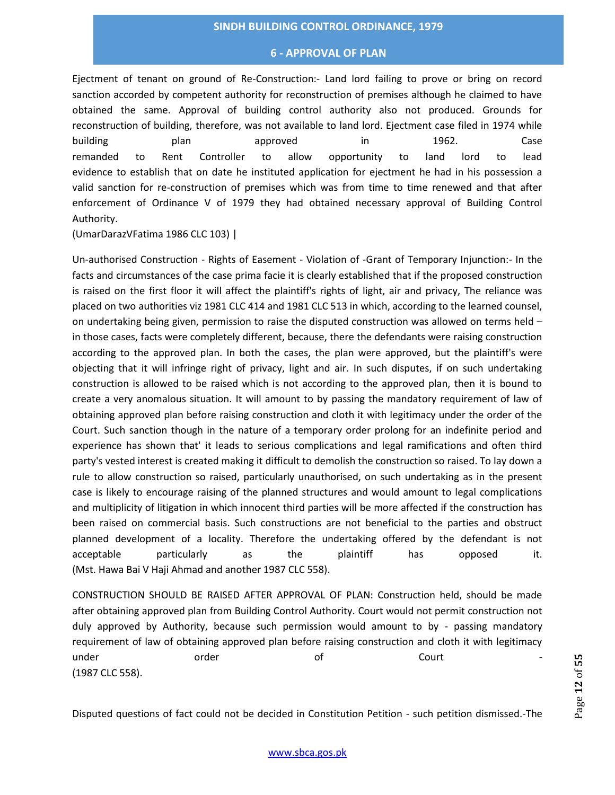#### **6 - APPROVAL OF PLAN**

Ejectment of tenant on ground of Re-Construction:- Land lord failing to prove or bring on record sanction accorded by competent authority for reconstruction of premises although he claimed to have obtained the same. Approval of building control authority also not produced. Grounds for reconstruction of building, therefore, was not available to land lord. Ejectment case filed in 1974 while building plan approved in 1962. Case remanded to Rent Controller to allow opportunity to land lord to lead evidence to establish that on date he instituted application for ejectment he had in his possession a valid sanction for re-construction of premises which was from time to time renewed and that after enforcement of Ordinance V of 1979 they had obtained necessary approval of Building Control Authority.

(UmarDarazVFatima 1986 CLC 103) |

Un-authorised Construction - Rights of Easement - Violation of -Grant of Temporary Injunction:- In the facts and circumstances of the case prima facie it is clearly established that if the proposed construction is raised on the first floor it will affect the plaintiff's rights of light, air and privacy, The reliance was placed on two authorities viz 1981 CLC 414 and 1981 CLC 513 in which, according to the learned counsel, on undertaking being given, permission to raise the disputed construction was allowed on terms held – in those cases, facts were completely different, because, there the defendants were raising construction according to the approved plan. In both the cases, the plan were approved, but the plaintiff's were objecting that it will infringe right of privacy, light and air. In such disputes, if on such undertaking construction is allowed to be raised which is not according to the approved plan, then it is bound to create a very anomalous situation. It will amount to by passing the mandatory requirement of law of obtaining approved plan before raising construction and cloth it with legitimacy under the order of the Court. Such sanction though in the nature of a temporary order prolong for an indefinite period and experience has shown that' it leads to serious complications and legal ramifications and often third party's vested interest is created making it difficult to demolish the construction so raised. To lay down a rule to allow construction so raised, particularly unauthorised, on such undertaking as in the present case is likely to encourage raising of the planned structures and would amount to legal complications and multiplicity of litigation in which innocent third parties will be more affected if the construction has been raised on commercial basis. Such constructions are not beneficial to the parties and obstruct planned development of a locality. Therefore the undertaking offered by the defendant is not acceptable particularly as the plaintiff has opposed it. (Mst. Hawa Bai V Haji Ahmad and another 1987 CLC 558).

CONSTRUCTION SHOULD BE RAISED AFTER APPROVAL OF PLAN: Construction held, should be made after obtaining approved plan from Building Control Authority. Court would not permit construction not duly approved by Authority, because such permission would amount to by - passing mandatory requirement of law of obtaining approved plan before raising construction and cloth it with legitimacy under order of Court - (1987 CLC 558).

Disputed questions of fact could not be decided in Constitution Petition - such petition dismissed.-The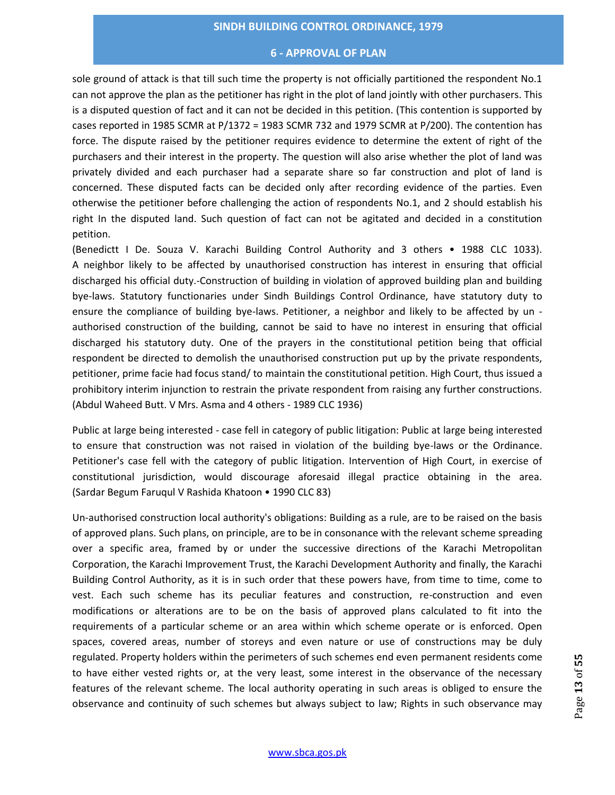#### **6 - APPROVAL OF PLAN**

sole ground of attack is that till such time the property is not officially partitioned the respondent No.1 can not approve the plan as the petitioner has right in the plot of land jointly with other purchasers. This is a disputed question of fact and it can not be decided in this petition. (This contention is supported by cases reported in 1985 SCMR at P/1372 = 1983 SCMR 732 and 1979 SCMR at P/200). The contention has force. The dispute raised by the petitioner requires evidence to determine the extent of right of the purchasers and their interest in the property. The question will also arise whether the plot of land was privately divided and each purchaser had a separate share so far construction and plot of land is concerned. These disputed facts can be decided only after recording evidence of the parties. Even otherwise the petitioner before challenging the action of respondents No.1, and 2 should establish his right In the disputed land. Such question of fact can not be agitated and decided in a constitution petition.

(Benedictt I De. Souza V. Karachi Building Control Authority and 3 others • 1988 CLC 1033). A neighbor likely to be affected by unauthorised construction has interest in ensuring that official discharged his official duty.-Construction of building in violation of approved building plan and building bye-laws. Statutory functionaries under Sindh Buildings Control Ordinance, have statutory duty to ensure the compliance of building bye-laws. Petitioner, a neighbor and likely to be affected by un authorised construction of the building, cannot be said to have no interest in ensuring that official discharged his statutory duty. One of the prayers in the constitutional petition being that official respondent be directed to demolish the unauthorised construction put up by the private respondents, petitioner, prime facie had focus stand/ to maintain the constitutional petition. High Court, thus issued a prohibitory interim injunction to restrain the private respondent from raising any further constructions. (Abdul Waheed Butt. V Mrs. Asma and 4 others - 1989 CLC 1936)

Public at large being interested - case fell in category of public litigation: Public at large being interested to ensure that construction was not raised in violation of the building bye-laws or the Ordinance. Petitioner's case fell with the category of public litigation. Intervention of High Court, in exercise of constitutional jurisdiction, would discourage aforesaid illegal practice obtaining in the area. (Sardar Begum Faruqul V Rashida Khatoon • 1990 CLC 83)

Un-authorised construction local authority's obligations: Building as a rule, are to be raised on the basis of approved plans. Such plans, on principle, are to be in consonance with the relevant scheme spreading over a specific area, framed by or under the successive directions of the Karachi Metropolitan Corporation, the Karachi Improvement Trust, the Karachi Development Authority and finally, the Karachi Building Control Authority, as it is in such order that these powers have, from time to time, come to vest. Each such scheme has its peculiar features and construction, re-construction and even modifications or alterations are to be on the basis of approved plans calculated to fit into the requirements of a particular scheme or an area within which scheme operate or is enforced. Open spaces, covered areas, number of storeys and even nature or use of constructions may be duly regulated. Property holders within the perimeters of such schemes end even permanent residents come to have either vested rights or, at the very least, some interest in the observance of the necessary features of the relevant scheme. The local authority operating in such areas is obliged to ensure the observance and continuity of such schemes but always subject to law; Rights in such observance may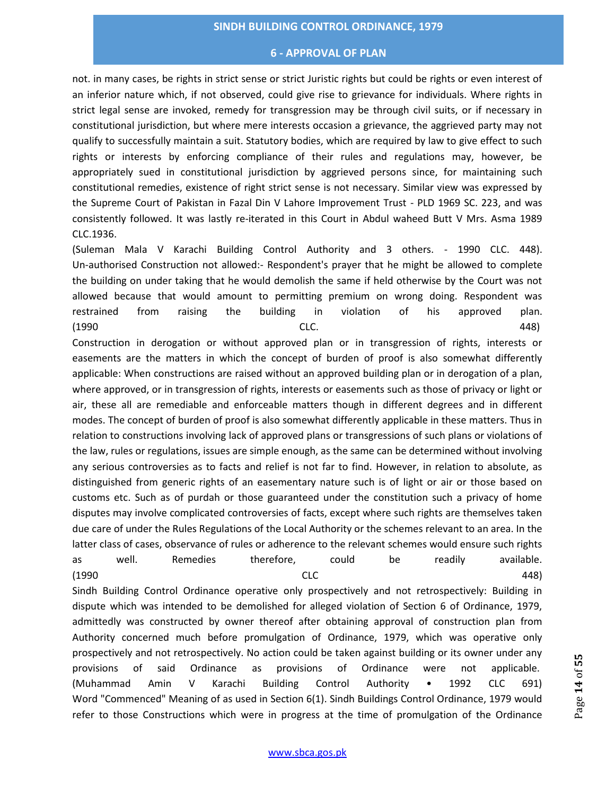#### **6 - APPROVAL OF PLAN**

not. in many cases, be rights in strict sense or strict Juristic rights but could be rights or even interest of an inferior nature which, if not observed, could give rise to grievance for individuals. Where rights in strict legal sense are invoked, remedy for transgression may be through civil suits, or if necessary in constitutional jurisdiction, but where mere interests occasion a grievance, the aggrieved party may not qualify to successfully maintain a suit. Statutory bodies, which are required by law to give effect to such rights or interests by enforcing compliance of their rules and regulations may, however, be appropriately sued in constitutional jurisdiction by aggrieved persons since, for maintaining such constitutional remedies, existence of right strict sense is not necessary. Similar view was expressed by the Supreme Court of Pakistan in Fazal Din V Lahore Improvement Trust - PLD 1969 SC. 223, and was consistently followed. It was lastly re-iterated in this Court in Abdul waheed Butt V Mrs. Asma 1989 CLC.1936.

(Suleman Mala V Karachi Building Control Authority and 3 others. - 1990 CLC. 448). Un-authorised Construction not allowed:- Respondent's prayer that he might be allowed to complete the building on under taking that he would demolish the same if held otherwise by the Court was not allowed because that would amount to permitting premium on wrong doing. Respondent was restrained from raising the building in violation of his approved plan. (1990 CLC. 448)

Construction in derogation or without approved plan or in transgression of rights, interests or easements are the matters in which the concept of burden of proof is also somewhat differently applicable: When constructions are raised without an approved building plan or in derogation of a plan, where approved, or in transgression of rights, interests or easements such as those of privacy or light or air, these all are remediable and enforceable matters though in different degrees and in different modes. The concept of burden of proof is also somewhat differently applicable in these matters. Thus in relation to constructions involving lack of approved plans or transgressions of such plans or violations of the law, rules or regulations, issues are simple enough, as the same can be determined without involving any serious controversies as to facts and relief is not far to find. However, in relation to absolute, as distinguished from generic rights of an easementary nature such is of light or air or those based on customs etc. Such as of purdah or those guaranteed under the constitution such a privacy of home disputes may involve complicated controversies of facts, except where such rights are themselves taken due care of under the Rules Regulations of the Local Authority or the schemes relevant to an area. In the latter class of cases, observance of rules or adherence to the relevant schemes would ensure such rights as well. Remedies therefore, could be readily available.

(1990 CLC 448) Sindh Building Control Ordinance operative only prospectively and not retrospectively: Building in dispute which was intended to be demolished for alleged violation of Section 6 of Ordinance, 1979, admittedly was constructed by owner thereof after obtaining approval of construction plan from Authority concerned much before promulgation of Ordinance, 1979, which was operative only prospectively and not retrospectively. No action could be taken against building or its owner under any provisions of said Ordinance as provisions of Ordinance were not applicable. (Muhammad Amin V Karachi Building Control Authority • 1992 CLC 691) Word "Commenced" Meaning of as used in Section 6(1). Sindh Buildings Control Ordinance, 1979 would refer to those Constructions which were in progress at the time of promulgation of the Ordinance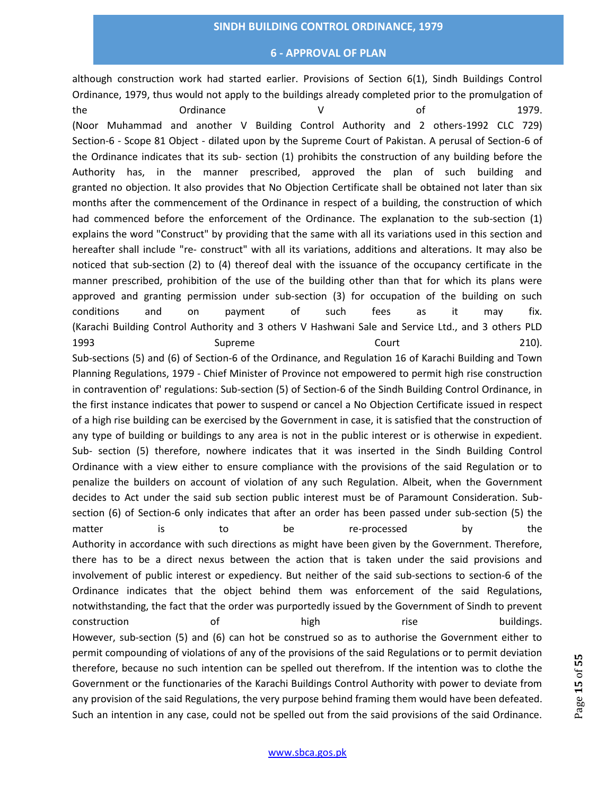#### **6 - APPROVAL OF PLAN**

although construction work had started earlier. Provisions of Section 6(1), Sindh Buildings Control Ordinance, 1979, thus would not apply to the buildings already completed prior to the promulgation of the Cordinance Cordinance V and  $\sigma$  of 1979. (Noor Muhammad and another V Building Control Authority and 2 others-1992 CLC 729) Section-6 - Scope 81 Object - dilated upon by the Supreme Court of Pakistan. A perusal of Section-6 of the Ordinance indicates that its sub- section (1) prohibits the construction of any building before the Authority has, in the manner prescribed, approved the plan of such building and granted no objection. It also provides that No Objection Certificate shall be obtained not later than six months after the commencement of the Ordinance in respect of a building, the construction of which had commenced before the enforcement of the Ordinance. The explanation to the sub-section (1) explains the word "Construct" by providing that the same with all its variations used in this section and hereafter shall include "re- construct" with all its variations, additions and alterations. It may also be noticed that sub-section (2) to (4) thereof deal with the issuance of the occupancy certificate in the manner prescribed, prohibition of the use of the building other than that for which its plans were approved and granting permission under sub-section (3) for occupation of the building on such conditions and on payment of such fees as it may fix. (Karachi Building Control Authority and 3 others V Hashwani Sale and Service Ltd., and 3 others PLD 1993 **Supreme** Supreme Court 210). Sub-sections (5) and (6) of Section-6 of the Ordinance, and Regulation 16 of Karachi Building and Town Planning Regulations, 1979 - Chief Minister of Province not empowered to permit high rise construction in contravention of' regulations: Sub-section (5) of Section-6 of the Sindh Building Control Ordinance, in the first instance indicates that power to suspend or cancel a No Objection Certificate issued in respect of a high rise building can be exercised by the Government in case, it is satisfied that the construction of any type of building or buildings to any area is not in the public interest or is otherwise in expedient. Sub- section (5) therefore, nowhere indicates that it was inserted in the Sindh Building Control Ordinance with a view either to ensure compliance with the provisions of the said Regulation or to penalize the builders on account of violation of any such Regulation. Albeit, when the Government decides to Act under the said sub section public interest must be of Paramount Consideration. Subsection (6) of Section-6 only indicates that after an order has been passed under sub-section (5) the matter is to be re-processed by the Authority in accordance with such directions as might have been given by the Government. Therefore, there has to be a direct nexus between the action that is taken under the said provisions and involvement of public interest or expediency. But neither of the said sub-sections to section-6 of the Ordinance indicates that the object behind them was enforcement of the said Regulations, notwithstanding, the fact that the order was purportedly issued by the Government of Sindh to prevent construction of high rise buildings. However, sub-section (5) and (6) can hot be construed so as to authorise the Government either to permit compounding of violations of any of the provisions of the said Regulations or to permit deviation therefore, because no such intention can be spelled out therefrom. If the intention was to clothe the Government or the functionaries of the Karachi Buildings Control Authority with power to deviate from any provision of the said Regulations, the very purpose behind framing them would have been defeated. Such an intention in any case, could not be spelled out from the said provisions of the said Ordinance.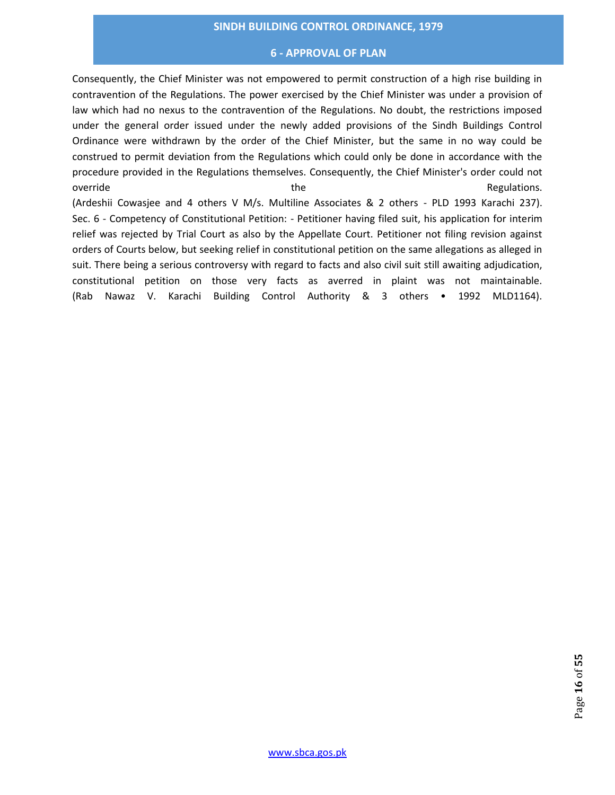#### **6 - APPROVAL OF PLAN**

Consequently, the Chief Minister was not empowered to permit construction of a high rise building in contravention of the Regulations. The power exercised by the Chief Minister was under a provision of law which had no nexus to the contravention of the Regulations. No doubt, the restrictions imposed under the general order issued under the newly added provisions of the Sindh Buildings Control Ordinance were withdrawn by the order of the Chief Minister, but the same in no way could be construed to permit deviation from the Regulations which could only be done in accordance with the procedure provided in the Regulations themselves. Consequently, the Chief Minister's order could not override and the the contractions of the contractions of the contractions. (Ardeshii Cowasjee and 4 others V M/s. Multiline Associates & 2 others - PLD 1993 Karachi 237). Sec. 6 - Competency of Constitutional Petition: - Petitioner having filed suit, his application for interim relief was rejected by Trial Court as also by the Appellate Court. Petitioner not filing revision against orders of Courts below, but seeking relief in constitutional petition on the same allegations as alleged in suit. There being a serious controversy with regard to facts and also civil suit still awaiting adjudication, constitutional petition on those very facts as averred in plaint was not maintainable. (Rab Nawaz V. Karachi Building Control Authority & 3 others • 1992 MLD1164).

www.sbca.gos.pk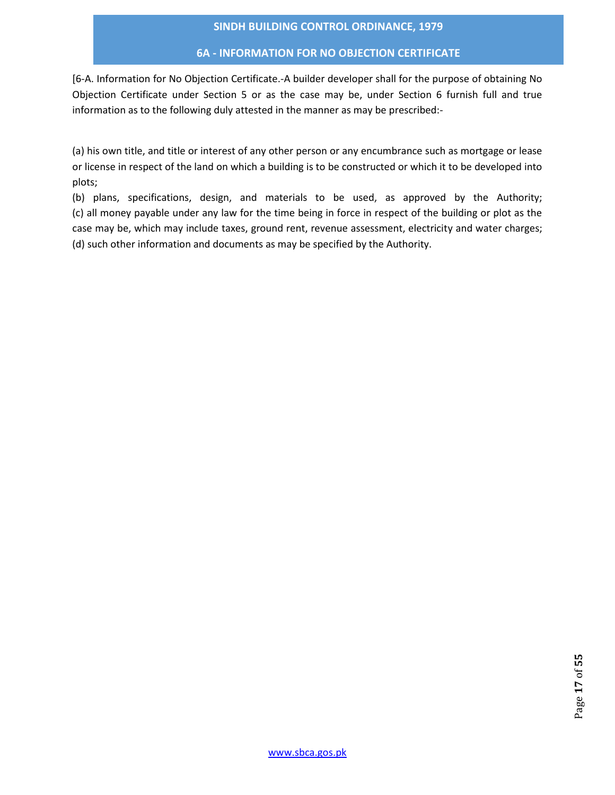## **6A - INFORMATION FOR NO OBJECTION CERTIFICATE**

[6-A. Information for No Objection Certificate.-A builder developer shall for the purpose of obtaining No Objection Certificate under Section 5 or as the case may be, under Section 6 furnish full and true information as to the following duly attested in the manner as may be prescribed:-

(a) his own title, and title or interest of any other person or any encumbrance such as mortgage or lease or license in respect of the land on which a building is to be constructed or which it to be developed into plots;

(b) plans, specifications, design, and materials to be used, as approved by the Authority; (c) all money payable under any law for the time being in force in respect of the building or plot as the case may be, which may include taxes, ground rent, revenue assessment, electricity and water charges; (d) such other information and documents as may be specified by the Authority.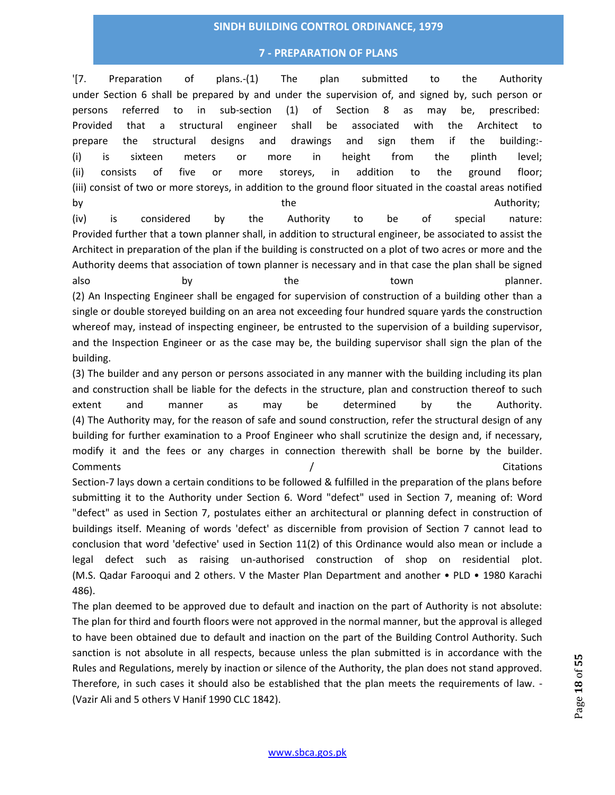## **7 - PREPARATION OF PLANS**

'[7. Preparation of plans.-(1) The plan submitted to the Authority under Section 6 shall be prepared by and under the supervision of, and signed by, such person or persons referred to in sub-section (1) of Section 8 as may be, prescribed: Provided that a structural engineer shall be associated with the Architect to prepare the structural designs and drawings and sign them if the building:- (i) is sixteen meters or more in height from the plinth level; (ii) consists of five or more storeys, in addition to the ground floor; (iii) consist of two or more storeys, in addition to the ground floor situated in the coastal areas notified by the the according to the contract of  $\lambda$  authority; (iv) is considered by the Authority to be of special nature: Provided further that a town planner shall, in addition to structural engineer, be associated to assist the Architect in preparation of the plan if the building is constructed on a plot of two acres or more and the Authority deems that association of town planner is necessary and in that case the plan shall be signed also by both the town town planner. (2) An Inspecting Engineer shall be engaged for supervision of construction of a building other than a single or double storeyed building on an area not exceeding four hundred square yards the construction whereof may, instead of inspecting engineer, be entrusted to the supervision of a building supervisor, and the Inspection Engineer or as the case may be, the building supervisor shall sign the plan of the building.

(3) The builder and any person or persons associated in any manner with the building including its plan and construction shall be liable for the defects in the structure, plan and construction thereof to such extent and manner as may be determined by the Authority. (4) The Authority may, for the reason of safe and sound construction, refer the structural design of any building for further examination to a Proof Engineer who shall scrutinize the design and, if necessary, modify it and the fees or any charges in connection therewith shall be borne by the builder. Comments / Citations Section-7 lays down a certain conditions to be followed & fulfilled in the preparation of the plans before submitting it to the Authority under Section 6. Word "defect" used in Section 7, meaning of: Word "defect" as used in Section 7, postulates either an architectural or planning defect in construction of buildings itself. Meaning of words 'defect' as discernible from provision of Section 7 cannot lead to conclusion that word 'defective' used in Section 11(2) of this Ordinance would also mean or include a legal defect such as raising un-authorised construction of shop on residential plot. (M.S. Qadar Farooqui and 2 others. V the Master Plan Department and another • PLD • 1980 Karachi 486).

The plan deemed to be approved due to default and inaction on the part of Authority is not absolute: The plan for third and fourth floors were not approved in the normal manner, but the approval is alleged to have been obtained due to default and inaction on the part of the Building Control Authority. Such sanction is not absolute in all respects, because unless the plan submitted is in accordance with the Rules and Regulations, merely by inaction or silence of the Authority, the plan does not stand approved. Therefore, in such cases it should also be established that the plan meets the requirements of law. -(Vazir Ali and 5 others V Hanif 1990 CLC 1842).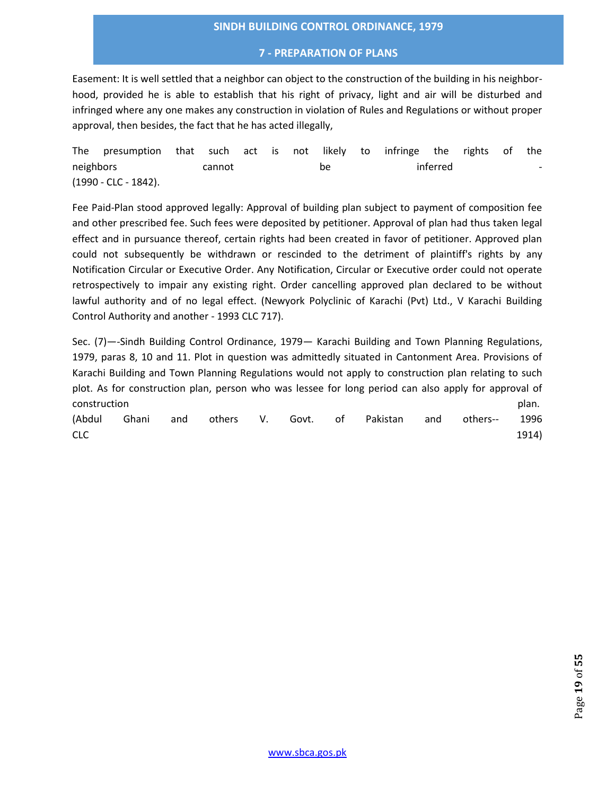#### **7 - PREPARATION OF PLANS**

Easement: It is well settled that a neighbor can object to the construction of the building in his neighborhood, provided he is able to establish that his right of privacy, light and air will be disturbed and infringed where any one makes any construction in violation of Rules and Regulations or without proper approval, then besides, the fact that he has acted illegally,

The presumption that such act is not likely to infringe the rights of the neighbors annot be inferred -(1990 - CLC - 1842).

Fee Paid-Plan stood approved legally: Approval of building plan subject to payment of composition fee and other prescribed fee. Such fees were deposited by petitioner. Approval of plan had thus taken legal effect and in pursuance thereof, certain rights had been created in favor of petitioner. Approved plan could not subsequently be withdrawn or rescinded to the detriment of plaintiff's rights by any Notification Circular or Executive Order. Any Notification, Circular or Executive order could not operate retrospectively to impair any existing right. Order cancelling approved plan declared to be without lawful authority and of no legal effect. (Newyork Polyclinic of Karachi (Pvt) Ltd., V Karachi Building Control Authority and another - 1993 CLC 717).

Sec. (7)—-Sindh Building Control Ordinance, 1979— Karachi Building and Town Planning Regulations, 1979, paras 8, 10 and 11. Plot in question was admittedly situated in Cantonment Area. Provisions of Karachi Building and Town Planning Regulations would not apply to construction plan relating to such plot. As for construction plan, person who was lessee for long period can also apply for approval of construction plan.

|            |  |  |  | (Abdul Ghani and others V. Govt. of Pakistan and others-- 1996 |  |       |
|------------|--|--|--|----------------------------------------------------------------|--|-------|
| <b>CLC</b> |  |  |  |                                                                |  | 1914) |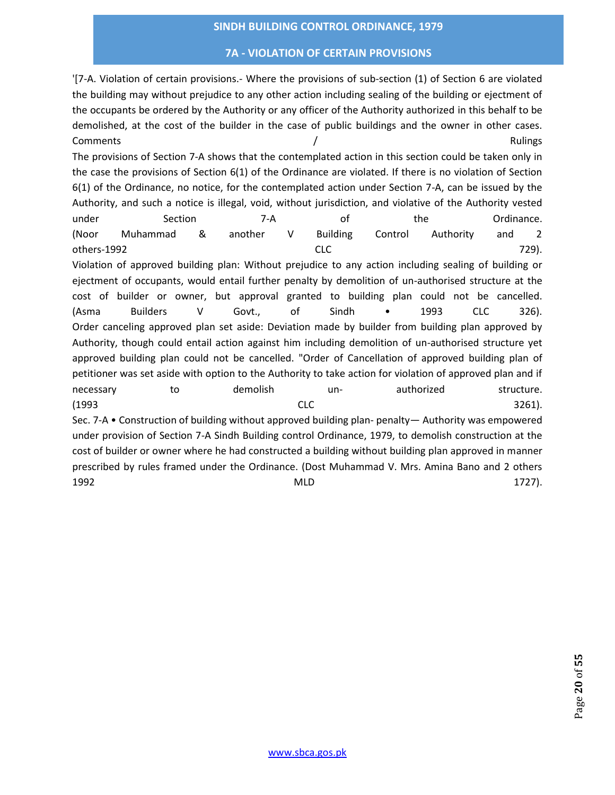## **7A - VIOLATION OF CERTAIN PROVISIONS**

'[7-A. Violation of certain provisions.- Where the provisions of sub-section (1) of Section 6 are violated the building may without prejudice to any other action including sealing of the building or ejectment of the occupants be ordered by the Authority or any officer of the Authority authorized in this behalf to be demolished, at the cost of the builder in the case of public buildings and the owner in other cases. Comments and the comments of the comments of the comments of the comments of the comments of the comments of the comments of the comments of the comments of the comments of the comments of the comments of the comments of t The provisions of Section 7-A shows that the contemplated action in this section could be taken only in the case the provisions of Section 6(1) of the Ordinance are violated. If there is no violation of Section 6(1) of the Ordinance, no notice, for the contemplated action under Section 7-A, can be issued by the Authority, and such a notice is illegal, void, without jurisdiction, and violative of the Authority vested under Section 7-A of the Ordinance. (Noor Muhammad & another V Building Control Authority and 2 others-1992 CLC 729). Violation of approved building plan: Without prejudice to any action including sealing of building or ejectment of occupants, would entail further penalty by demolition of un-authorised structure at the cost of builder or owner, but approval granted to building plan could not be cancelled. (Asma Builders V Govt., of Sindh • 1993 CLC 326). Order canceling approved plan set aside: Deviation made by builder from building plan approved by Authority, though could entail action against him including demolition of un-authorised structure yet approved building plan could not be cancelled. "Order of Cancellation of approved building plan of petitioner was set aside with option to the Authority to take action for violation of approved plan and if necessary to to demolish un- authorized structure. (1993 CLC 3261). Sec. 7-A • Construction of building without approved building plan- penalty— Authority was empowered under provision of Section 7-A Sindh Building control Ordinance, 1979, to demolish construction at the cost of builder or owner where he had constructed a building without building plan approved in manner prescribed by rules framed under the Ordinance. (Dost Muhammad V. Mrs. Amina Bano and 2 others 1992 MLD 1727).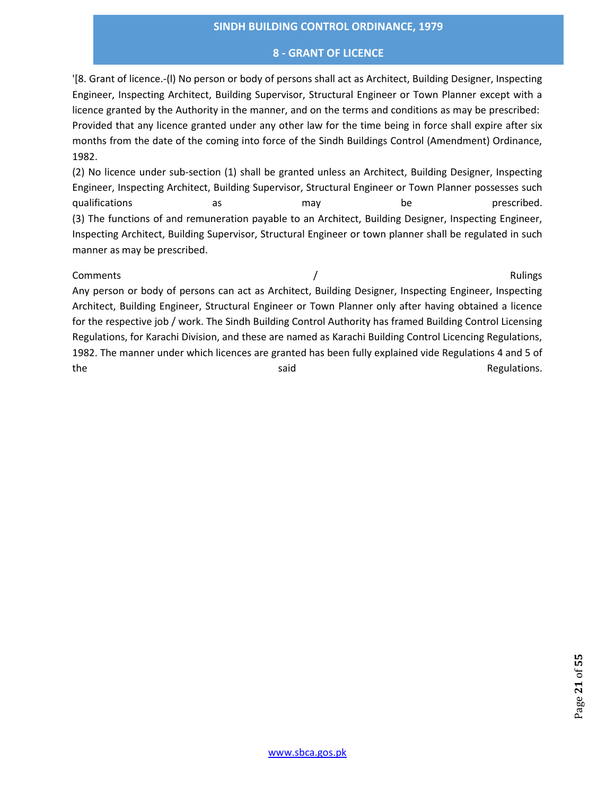## **8 - GRANT OF LICENCE**

'[8. Grant of licence.-(l) No person or body of persons shall act as Architect, Building Designer, Inspecting Engineer, Inspecting Architect, Building Supervisor, Structural Engineer or Town Planner except with a licence granted by the Authority in the manner, and on the terms and conditions as may be prescribed: Provided that any licence granted under any other law for the time being in force shall expire after six months from the date of the coming into force of the Sindh Buildings Control (Amendment) Ordinance, 1982.

(2) No licence under sub-section (1) shall be granted unless an Architect, Building Designer, Inspecting Engineer, Inspecting Architect, Building Supervisor, Structural Engineer or Town Planner possesses such qualifications as as may be prescribed. (3) The functions of and remuneration payable to an Architect, Building Designer, Inspecting Engineer, Inspecting Architect, Building Supervisor, Structural Engineer or town planner shall be regulated in such manner as may be prescribed.

Comments and the comments of the comments of the comments of the comments of the comments of the comments of the comments of the comments of the comments of the comments of the comments of the comments of the comments of t Any person or body of persons can act as Architect, Building Designer, Inspecting Engineer, Inspecting Architect, Building Engineer, Structural Engineer or Town Planner only after having obtained a licence for the respective job / work. The Sindh Building Control Authority has framed Building Control Licensing Regulations, for Karachi Division, and these are named as Karachi Building Control Licencing Regulations, 1982. The manner under which licences are granted has been fully explained vide Regulations 4 and 5 of the said said Regulations.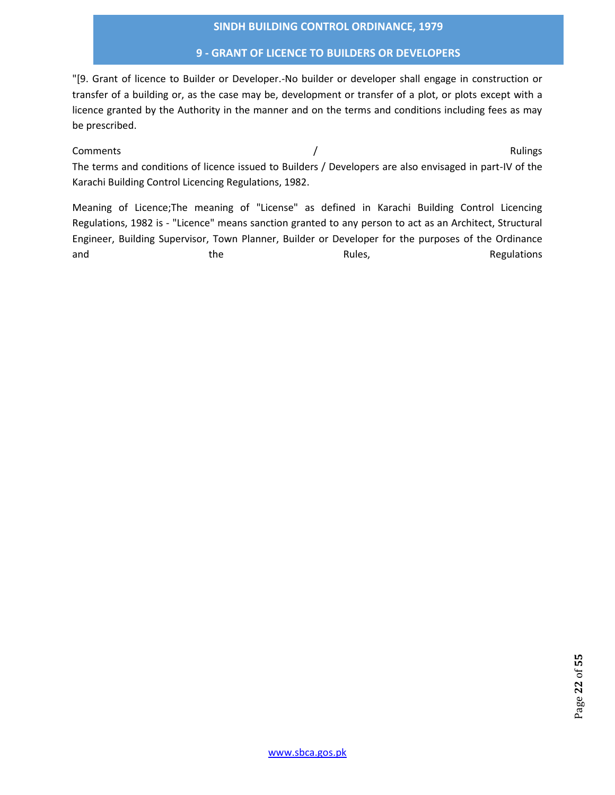## **9 - GRANT OF LICENCE TO BUILDERS OR DEVELOPERS**

"[9. Grant of licence to Builder or Developer.-No builder or developer shall engage in construction or transfer of a building or, as the case may be, development or transfer of a plot, or plots except with a licence granted by the Authority in the manner and on the terms and conditions including fees as may be prescribed.

Comments and the comments of the comments of the comments of the comments of the comments of the comments of the comments of the comments of the comments of the comments of the comments of the comments of the comments of t The terms and conditions of licence issued to Builders / Developers are also envisaged in part-IV of the Karachi Building Control Licencing Regulations, 1982.

Meaning of Licence;The meaning of "License" as defined in Karachi Building Control Licencing Regulations, 1982 is - "Licence" means sanction granted to any person to act as an Architect, Structural Engineer, Building Supervisor, Town Planner, Builder or Developer for the purposes of the Ordinance and the the Rules, Rules, Row Regulations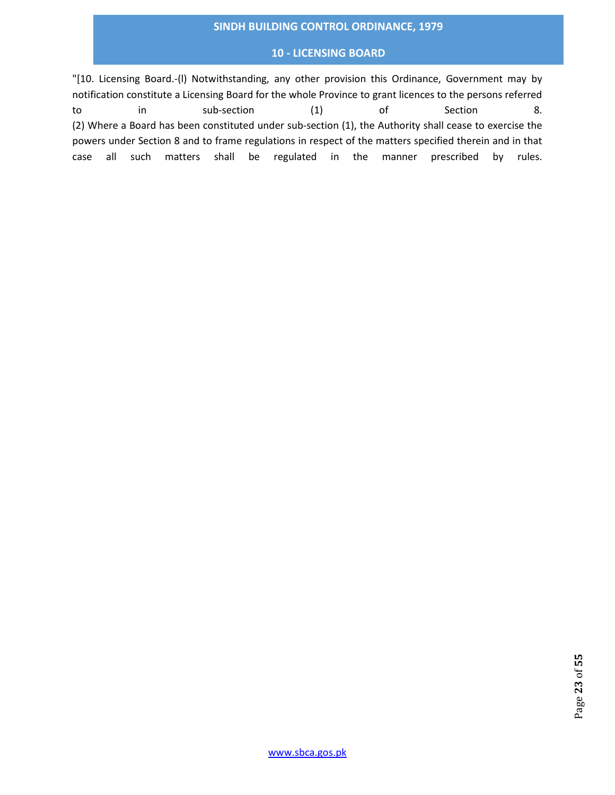## **10 - LICENSING BOARD**

"[10. Licensing Board.-(l) Notwithstanding, any other provision this Ordinance, Government may by notification constitute a Licensing Board for the whole Province to grant licences to the persons referred to in sub-section (1) of Section 8. (2) Where a Board has been constituted under sub-section (1), the Authority shall cease to exercise the powers under Section 8 and to frame regulations in respect of the matters specified therein and in that case all such matters shall be regulated in the manner prescribed by rules.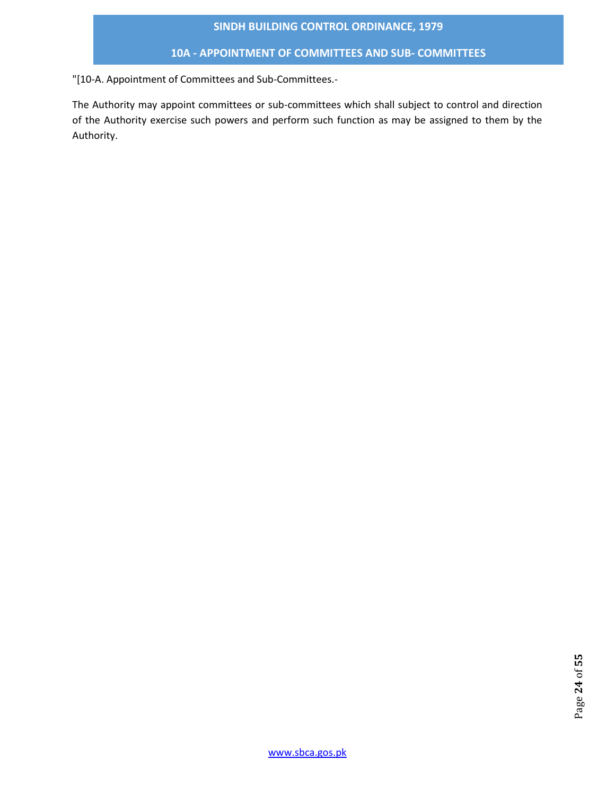# **10A - APPOINTMENT OF COMMITTEES AND SUB- COMMITTEES**

"[10-A. Appointment of Committees and Sub-Committees.-

The Authority may appoint committees or sub-committees which shall subject to control and direction of the Authority exercise such powers and perform such function as may be assigned to them by the Authority.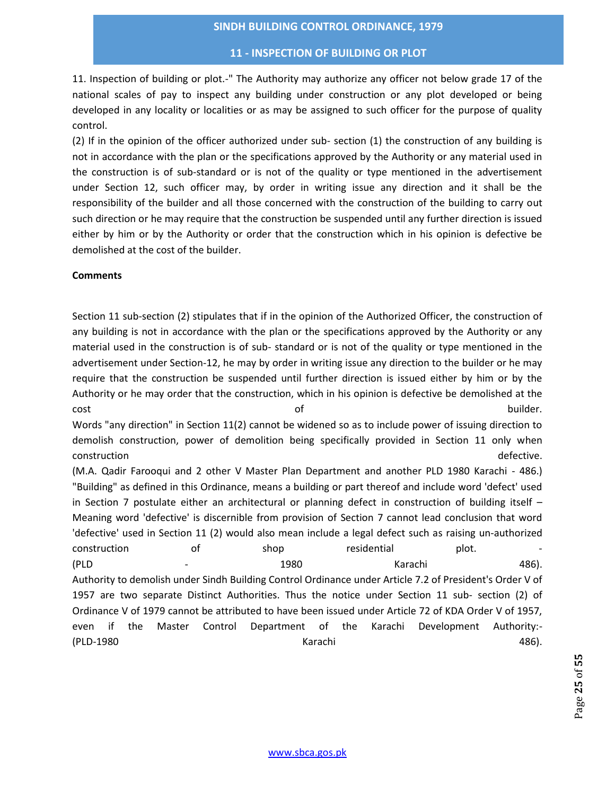#### **11 - INSPECTION OF BUILDING OR PLOT**

11. Inspection of building or plot.-" The Authority may authorize any officer not below grade 17 of the national scales of pay to inspect any building under construction or any plot developed or being developed in any locality or localities or as may be assigned to such officer for the purpose of quality control.

(2) If in the opinion of the officer authorized under sub- section (1) the construction of any building is not in accordance with the plan or the specifications approved by the Authority or any material used in the construction is of sub-standard or is not of the quality or type mentioned in the advertisement under Section 12, such officer may, by order in writing issue any direction and it shall be the responsibility of the builder and all those concerned with the construction of the building to carry out such direction or he may require that the construction be suspended until any further direction is issued either by him or by the Authority or order that the construction which in his opinion is defective be demolished at the cost of the builder.

#### **Comments**

Section 11 sub-section (2) stipulates that if in the opinion of the Authorized Officer, the construction of any building is not in accordance with the plan or the specifications approved by the Authority or any material used in the construction is of sub- standard or is not of the quality or type mentioned in the advertisement under Section-12, he may by order in writing issue any direction to the builder or he may require that the construction be suspended until further direction is issued either by him or by the Authority or he may order that the construction, which in his opinion is defective be demolished at the cost the builder. The cost of the builder.

Words "any direction" in Section 11(2) cannot be widened so as to include power of issuing direction to demolish construction, power of demolition being specifically provided in Section 11 only when construction defective.

(M.A. Qadir Farooqui and 2 other V Master Plan Department and another PLD 1980 Karachi - 486.) "Building" as defined in this Ordinance, means a building or part thereof and include word 'defect' used in Section 7 postulate either an architectural or planning defect in construction of building itself – Meaning word 'defective' is discernible from provision of Section 7 cannot lead conclusion that word 'defective' used in Section 11 (2) would also mean include a legal defect such as raising un-authorized construction of the shop residential plot. (PLD - 1980 Karachi 486). Authority to demolish under Sindh Building Control Ordinance under Article 7.2 of President's Order V of 1957 are two separate Distinct Authorities. Thus the notice under Section 11 sub- section (2) of Ordinance V of 1979 cannot be attributed to have been issued under Article 72 of KDA Order V of 1957, even if the Master Control Department of the Karachi Development Authority:- (PLD-1980 Karachi 486).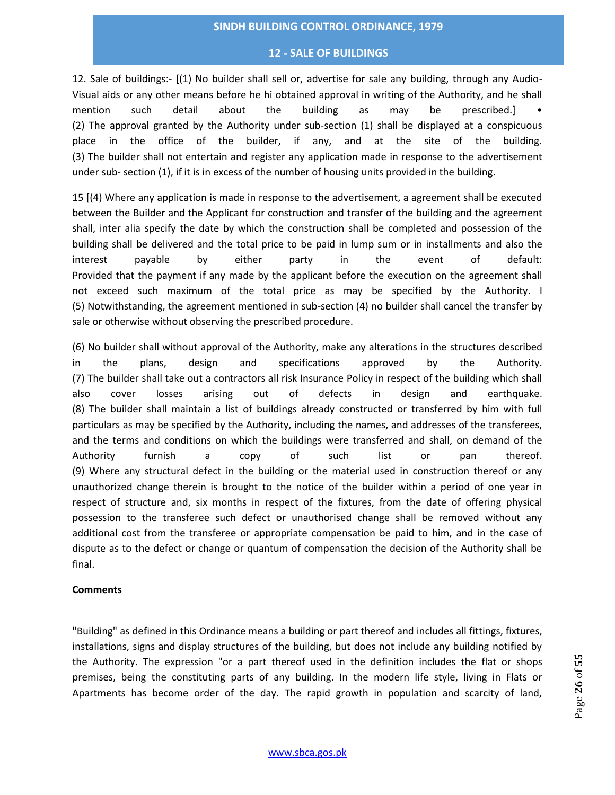#### **12 - SALE OF BUILDINGS**

12. Sale of buildings:- [(1) No builder shall sell or, advertise for sale any building, through any Audio-Visual aids or any other means before he hi obtained approval in writing of the Authority, and he shall mention such detail about the building as may be prescribed.] • (2) The approval granted by the Authority under sub-section (1) shall be displayed at a conspicuous place in the office of the builder, if any, and at the site of the building. (3) The builder shall not entertain and register any application made in response to the advertisement under sub- section (1), if it is in excess of the number of housing units provided in the building.

15 [(4) Where any application is made in response to the advertisement, a agreement shall be executed between the Builder and the Applicant for construction and transfer of the building and the agreement shall, inter alia specify the date by which the construction shall be completed and possession of the building shall be delivered and the total price to be paid in lump sum or in installments and also the interest payable by either party in the event of default: Provided that the payment if any made by the applicant before the execution on the agreement shall not exceed such maximum of the total price as may be specified by the Authority. I (5) Notwithstanding, the agreement mentioned in sub-section (4) no builder shall cancel the transfer by sale or otherwise without observing the prescribed procedure.

(6) No builder shall without approval of the Authority, make any alterations in the structures described in the plans, design and specifications approved by the Authority. (7) The builder shall take out a contractors all risk Insurance Policy in respect of the building which shall also cover losses arising out of defects in design and earthquake. (8) The builder shall maintain a list of buildings already constructed or transferred by him with full particulars as may be specified by the Authority, including the names, and addresses of the transferees, and the terms and conditions on which the buildings were transferred and shall, on demand of the Authority furnish a copy of such list or pan thereof. (9) Where any structural defect in the building or the material used in construction thereof or any unauthorized change therein is brought to the notice of the builder within a period of one year in respect of structure and, six months in respect of the fixtures, from the date of offering physical possession to the transferee such defect or unauthorised change shall be removed without any additional cost from the transferee or appropriate compensation be paid to him, and in the case of dispute as to the defect or change or quantum of compensation the decision of the Authority shall be final.

#### **Comments**

"Building" as defined in this Ordinance means a building or part thereof and includes all fittings, fixtures, installations, signs and display structures of the building, but does not include any building notified by the Authority. The expression "or a part thereof used in the definition includes the flat or shops premises, being the constituting parts of any building. In the modern life style, living in Flats or Apartments has become order of the day. The rapid growth in population and scarcity of land,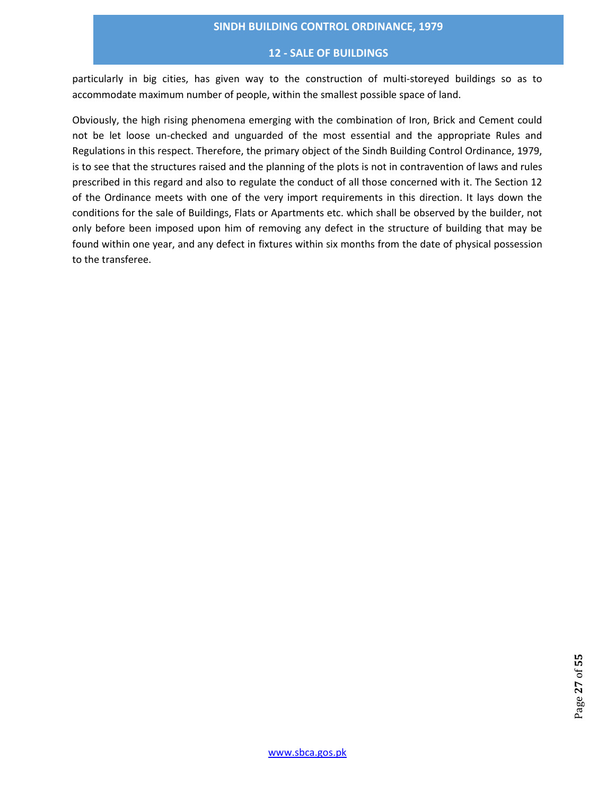#### **12 - SALE OF BUILDINGS**

particularly in big cities, has given way to the construction of multi-storeyed buildings so as to accommodate maximum number of people, within the smallest possible space of land.

Obviously, the high rising phenomena emerging with the combination of Iron, Brick and Cement could not be let loose un-checked and unguarded of the most essential and the appropriate Rules and Regulations in this respect. Therefore, the primary object of the Sindh Building Control Ordinance, 1979, is to see that the structures raised and the planning of the plots is not in contravention of laws and rules prescribed in this regard and also to regulate the conduct of all those concerned with it. The Section 12 of the Ordinance meets with one of the very import requirements in this direction. It lays down the conditions for the sale of Buildings, Flats or Apartments etc. which shall be observed by the builder, not only before been imposed upon him of removing any defect in the structure of building that may be found within one year, and any defect in fixtures within six months from the date of physical possession to the transferee.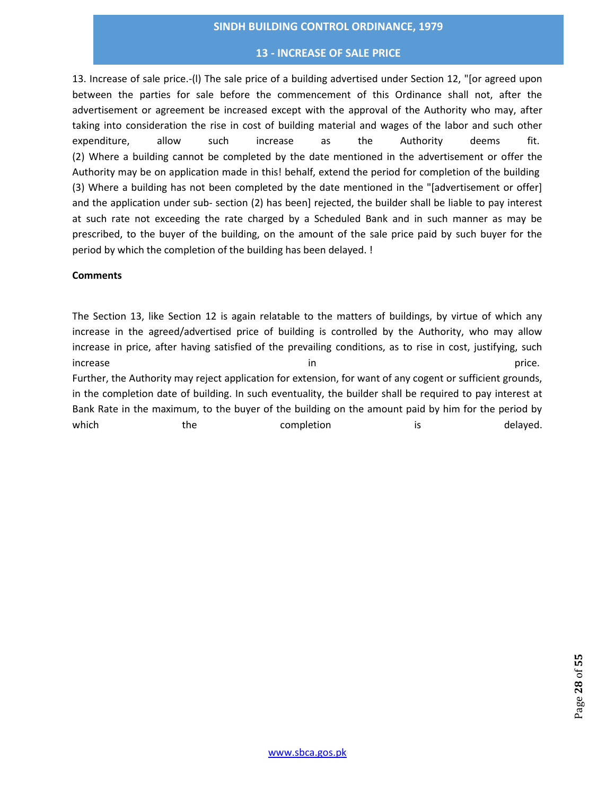## **13 - INCREASE OF SALE PRICE**

13. Increase of sale price.-(l) The sale price of a building advertised under Section 12, "[or agreed upon between the parties for sale before the commencement of this Ordinance shall not, after the advertisement or agreement be increased except with the approval of the Authority who may, after taking into consideration the rise in cost of building material and wages of the labor and such other expenditure, allow such increase as the Authority deems fit. (2) Where a building cannot be completed by the date mentioned in the advertisement or offer the Authority may be on application made in this! behalf, extend the period for completion of the building (3) Where a building has not been completed by the date mentioned in the "[advertisement or offer] and the application under sub- section (2) has been] rejected, the builder shall be liable to pay interest at such rate not exceeding the rate charged by a Scheduled Bank and in such manner as may be prescribed, to the buyer of the building, on the amount of the sale price paid by such buyer for the period by which the completion of the building has been delayed. !

## **Comments**

The Section 13, like Section 12 is again relatable to the matters of buildings, by virtue of which any increase in the agreed/advertised price of building is controlled by the Authority, who may allow increase in price, after having satisfied of the prevailing conditions, as to rise in cost, justifying, such increase **in price.** The in price in the set of the set of the set of the set of the set of the set of the set of the set of the set of the set of the set of the set of the set of the set of the set of the set of the set o Further, the Authority may reject application for extension, for want of any cogent or sufficient grounds, in the completion date of building. In such eventuality, the builder shall be required to pay interest at Bank Rate in the maximum, to the buyer of the building on the amount paid by him for the period by which the completion is delayed.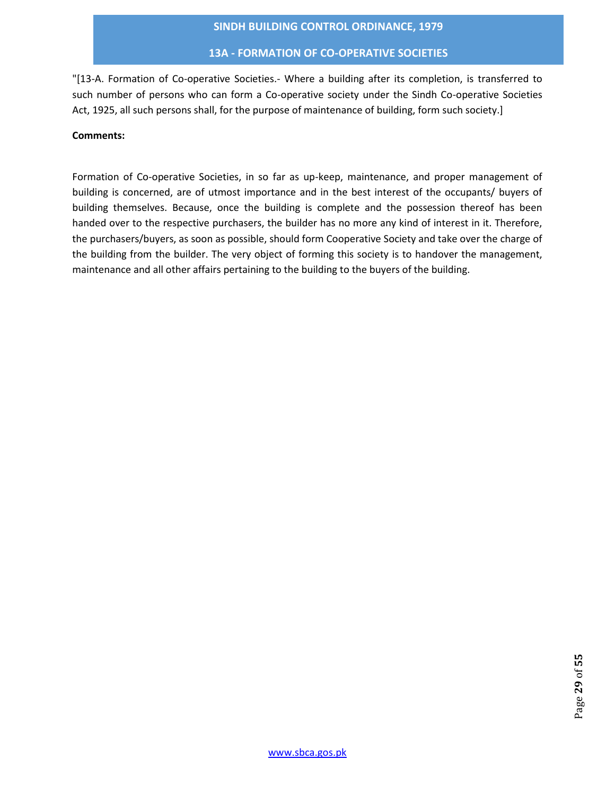## **13A - FORMATION OF CO-OPERATIVE SOCIETIES**

"[13-A. Formation of Co-operative Societies.- Where a building after its completion, is transferred to such number of persons who can form a Co-operative society under the Sindh Co-operative Societies Act, 1925, all such persons shall, for the purpose of maintenance of building, form such society.]

## **Comments:**

Formation of Co-operative Societies, in so far as up-keep, maintenance, and proper management of building is concerned, are of utmost importance and in the best interest of the occupants/ buyers of building themselves. Because, once the building is complete and the possession thereof has been handed over to the respective purchasers, the builder has no more any kind of interest in it. Therefore, the purchasers/buyers, as soon as possible, should form Cooperative Society and take over the charge of the building from the builder. The very object of forming this society is to handover the management, maintenance and all other affairs pertaining to the building to the buyers of the building.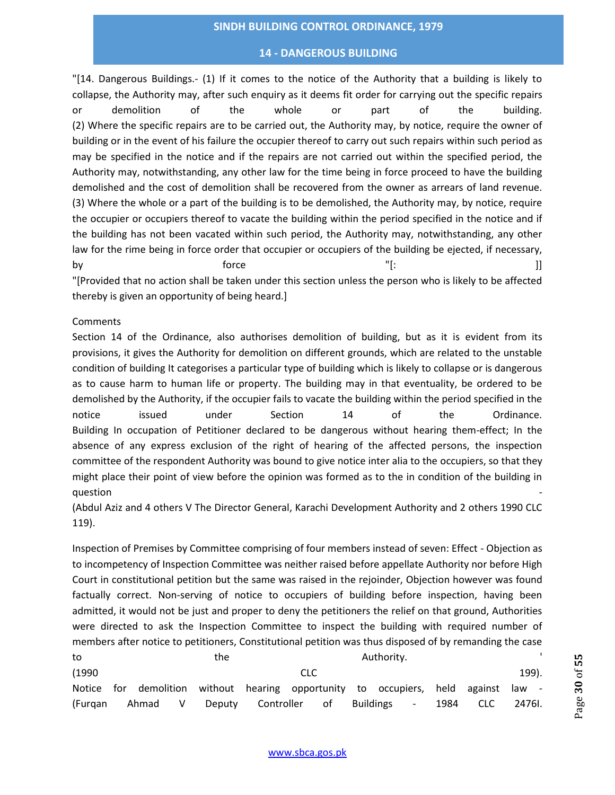## **14 - DANGEROUS BUILDING**

"[14. Dangerous Buildings.- (1) If it comes to the notice of the Authority that a building is likely to collapse, the Authority may, after such enquiry as it deems fit order for carrying out the specific repairs or demolition of the whole or part of the building. (2) Where the specific repairs are to be carried out, the Authority may, by notice, require the owner of building or in the event of his failure the occupier thereof to carry out such repairs within such period as may be specified in the notice and if the repairs are not carried out within the specified period, the Authority may, notwithstanding, any other law for the time being in force proceed to have the building demolished and the cost of demolition shall be recovered from the owner as arrears of land revenue. (3) Where the whole or a part of the building is to be demolished, the Authority may, by notice, require the occupier or occupiers thereof to vacate the building within the period specified in the notice and if the building has not been vacated within such period, the Authority may, notwithstanding, any other law for the rime being in force order that occupier or occupiers of the building be ejected, if necessary, by force [: ]] "[Provided that no action shall be taken under this section unless the person who is likely to be affected thereby is given an opportunity of being heard.]

#### **Comments**

Section 14 of the Ordinance, also authorises demolition of building, but as it is evident from its provisions, it gives the Authority for demolition on different grounds, which are related to the unstable condition of building It categorises a particular type of building which is likely to collapse or is dangerous as to cause harm to human life or property. The building may in that eventuality, be ordered to be demolished by the Authority, if the occupier fails to vacate the building within the period specified in the notice issued under Section 14 of the Ordinance. Building In occupation of Petitioner declared to be dangerous without hearing them-effect; In the absence of any express exclusion of the right of hearing of the affected persons, the inspection committee of the respondent Authority was bound to give notice inter alia to the occupiers, so that they might place their point of view before the opinion was formed as to the in condition of the building in question -

(Abdul Aziz and 4 others V The Director General, Karachi Development Authority and 2 others 1990 CLC 119).

Inspection of Premises by Committee comprising of four members instead of seven: Effect - Objection as to incompetency of Inspection Committee was neither raised before appellate Authority nor before High Court in constitutional petition but the same was raised in the rejoinder, Objection however was found factually correct. Non-serving of notice to occupiers of building before inspection, having been admitted, it would not be just and proper to deny the petitioners the relief on that ground, Authorities were directed to ask the Inspection Committee to inspect the building with required number of members after notice to petitioners, Constitutional petition was thus disposed of by remanding the case

| to      | Authority.<br>the |         |  |                      |            |  |  |                                                                                    |      |      |        |
|---------|-------------------|---------|--|----------------------|------------|--|--|------------------------------------------------------------------------------------|------|------|--------|
| (1990)  |                   |         |  |                      | <b>CLC</b> |  |  |                                                                                    |      |      | 199).  |
|         |                   |         |  |                      |            |  |  | Notice for demolition without hearing opportunity to occupiers, held against law - |      |      |        |
| (Furgan |                   | Ahmad V |  | Deputy Controller of |            |  |  | Buildings -                                                                        | 1984 | CLC. | 2476I. |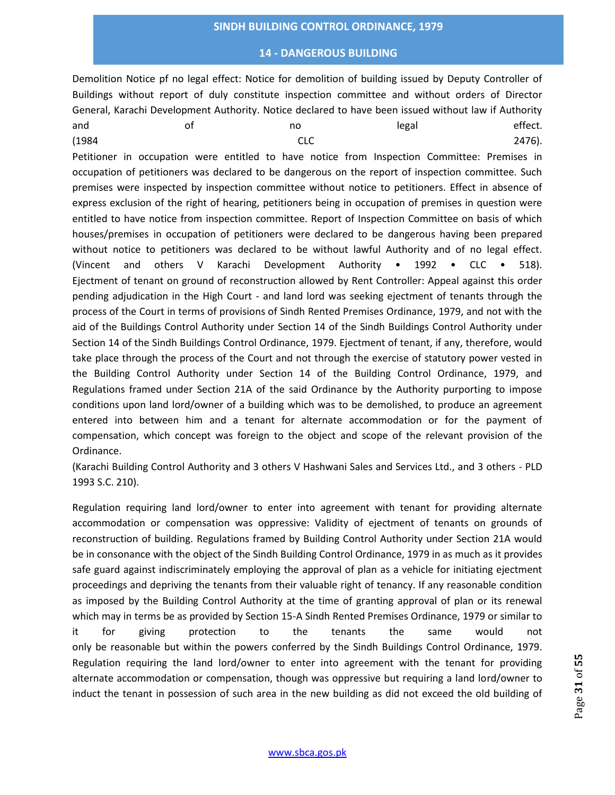## **14 - DANGEROUS BUILDING**

Demolition Notice pf no legal effect: Notice for demolition of building issued by Deputy Controller of Buildings without report of duly constitute inspection committee and without orders of Director General, Karachi Development Authority. Notice declared to have been issued without law if Authority and and of the no legal legal effect. (1984 CLC 2476).

Petitioner in occupation were entitled to have notice from Inspection Committee: Premises in occupation of petitioners was declared to be dangerous on the report of inspection committee. Such premises were inspected by inspection committee without notice to petitioners. Effect in absence of express exclusion of the right of hearing, petitioners being in occupation of premises in question were entitled to have notice from inspection committee. Report of Inspection Committee on basis of which houses/premises in occupation of petitioners were declared to be dangerous having been prepared without notice to petitioners was declared to be without lawful Authority and of no legal effect. (Vincent and others V Karachi Development Authority • 1992 • CLC • 518). Ejectment of tenant on ground of reconstruction allowed by Rent Controller: Appeal against this order pending adjudication in the High Court - and land lord was seeking ejectment of tenants through the process of the Court in terms of provisions of Sindh Rented Premises Ordinance, 1979, and not with the aid of the Buildings Control Authority under Section 14 of the Sindh Buildings Control Authority under Section 14 of the Sindh Buildings Control Ordinance, 1979. Ejectment of tenant, if any, therefore, would take place through the process of the Court and not through the exercise of statutory power vested in the Building Control Authority under Section 14 of the Building Control Ordinance, 1979, and Regulations framed under Section 21A of the said Ordinance by the Authority purporting to impose conditions upon land lord/owner of a building which was to be demolished, to produce an agreement entered into between him and a tenant for alternate accommodation or for the payment of compensation, which concept was foreign to the object and scope of the relevant provision of the Ordinance.

(Karachi Building Control Authority and 3 others V Hashwani Sales and Services Ltd., and 3 others - PLD 1993 S.C. 210).

Regulation requiring land lord/owner to enter into agreement with tenant for providing alternate accommodation or compensation was oppressive: Validity of ejectment of tenants on grounds of reconstruction of building. Regulations framed by Building Control Authority under Section 21A would be in consonance with the object of the Sindh Building Control Ordinance, 1979 in as much as it provides safe guard against indiscriminately employing the approval of plan as a vehicle for initiating ejectment proceedings and depriving the tenants from their valuable right of tenancy. If any reasonable condition as imposed by the Building Control Authority at the time of granting approval of plan or its renewal which may in terms be as provided by Section 15-A Sindh Rented Premises Ordinance, 1979 or similar to it for giving protection to the tenants the same would not only be reasonable but within the powers conferred by the Sindh Buildings Control Ordinance, 1979. Regulation requiring the land lord/owner to enter into agreement with the tenant for providing alternate accommodation or compensation, though was oppressive but requiring a land lord/owner to induct the tenant in possession of such area in the new building as did not exceed the old building of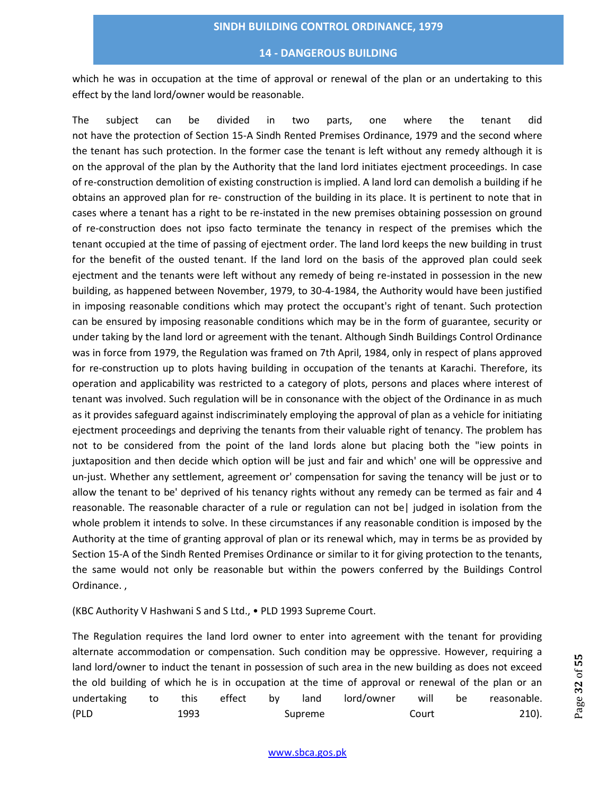#### **14 - DANGEROUS BUILDING**

which he was in occupation at the time of approval or renewal of the plan or an undertaking to this effect by the land lord/owner would be reasonable.

The subject can be divided in two parts, one where the tenant did not have the protection of Section 15-A Sindh Rented Premises Ordinance, 1979 and the second where the tenant has such protection. In the former case the tenant is left without any remedy although it is on the approval of the plan by the Authority that the land lord initiates ejectment proceedings. In case of re-construction demolition of existing construction is implied. A land lord can demolish a building if he obtains an approved plan for re- construction of the building in its place. It is pertinent to note that in cases where a tenant has a right to be re-instated in the new premises obtaining possession on ground of re-construction does not ipso facto terminate the tenancy in respect of the premises which the tenant occupied at the time of passing of ejectment order. The land lord keeps the new building in trust for the benefit of the ousted tenant. If the land lord on the basis of the approved plan could seek ejectment and the tenants were left without any remedy of being re-instated in possession in the new building, as happened between November, 1979, to 30-4-1984, the Authority would have been justified in imposing reasonable conditions which may protect the occupant's right of tenant. Such protection can be ensured by imposing reasonable conditions which may be in the form of guarantee, security or under taking by the land lord or agreement with the tenant. Although Sindh Buildings Control Ordinance was in force from 1979, the Regulation was framed on 7th April, 1984, only in respect of plans approved for re-construction up to plots having building in occupation of the tenants at Karachi. Therefore, its operation and applicability was restricted to a category of plots, persons and places where interest of tenant was involved. Such regulation will be in consonance with the object of the Ordinance in as much as it provides safeguard against indiscriminately employing the approval of plan as a vehicle for initiating ejectment proceedings and depriving the tenants from their valuable right of tenancy. The problem has not to be considered from the point of the land lords alone but placing both the "iew points in juxtaposition and then decide which option will be just and fair and which' one will be oppressive and un-just. Whether any settlement, agreement or' compensation for saving the tenancy will be just or to allow the tenant to be' deprived of his tenancy rights without any remedy can be termed as fair and 4 reasonable. The reasonable character of a rule or regulation can not be| judged in isolation from the whole problem it intends to solve. In these circumstances if any reasonable condition is imposed by the Authority at the time of granting approval of plan or its renewal which, may in terms be as provided by Section 15-A of the Sindh Rented Premises Ordinance or similar to it for giving protection to the tenants, the same would not only be reasonable but within the powers conferred by the Buildings Control Ordinance. ,

(KBC Authority V Hashwani S and S Ltd., • PLD 1993 Supreme Court.

The Regulation requires the land lord owner to enter into agreement with the tenant for providing alternate accommodation or compensation. Such condition may be oppressive. However, requiring a land lord/owner to induct the tenant in possession of such area in the new building as does not exceed the old building of which he is in occupation at the time of approval or renewal of the plan or an undertaking to this effect by land lord/owner will be reasonable. (PLD 1993 Supreme Court 210).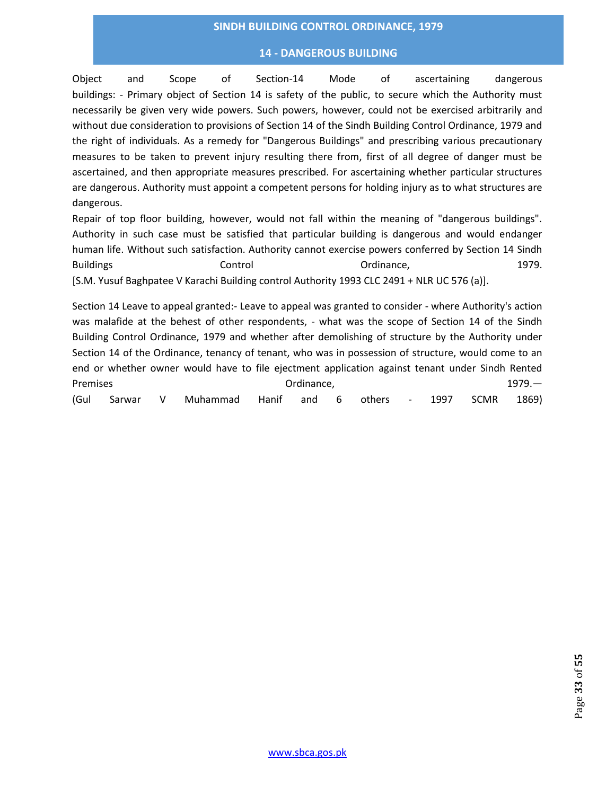#### **14 - DANGEROUS BUILDING**

Object and Scope of Section-14 Mode of ascertaining dangerous buildings: - Primary object of Section 14 is safety of the public, to secure which the Authority must necessarily be given very wide powers. Such powers, however, could not be exercised arbitrarily and without due consideration to provisions of Section 14 of the Sindh Building Control Ordinance, 1979 and the right of individuals. As a remedy for "Dangerous Buildings" and prescribing various precautionary measures to be taken to prevent injury resulting there from, first of all degree of danger must be ascertained, and then appropriate measures prescribed. For ascertaining whether particular structures are dangerous. Authority must appoint a competent persons for holding injury as to what structures are dangerous.

Repair of top floor building, however, would not fall within the meaning of "dangerous buildings". Authority in such case must be satisfied that particular building is dangerous and would endanger human life. Without such satisfaction. Authority cannot exercise powers conferred by Section 14 Sindh Buildings **Control** Control Control Control Control Control Control Control Control Control Control Control Control Control Control Control Control Control Control Control Control Control Control Control Control Control Co [S.M. Yusuf Baghpatee V Karachi Building control Authority 1993 CLC 2491 + NLR UC 576 (a)].

Section 14 Leave to appeal granted:- Leave to appeal was granted to consider - where Authority's action was malafide at the behest of other respondents, - what was the scope of Section 14 of the Sindh Building Control Ordinance, 1979 and whether after demolishing of structure by the Authority under Section 14 of the Ordinance, tenancy of tenant, who was in possession of structure, would come to an end or whether owner would have to file ejectment application against tenant under Sindh Rented Premises and the contract of the Cordinance, the contract of the contract of the contract of the contract of the contract of the contract of the contract of the contract of the contract of the contract of the contract of t (Gul Sarwar V Muhammad Hanif and 6 others - 1997 SCMR 1869)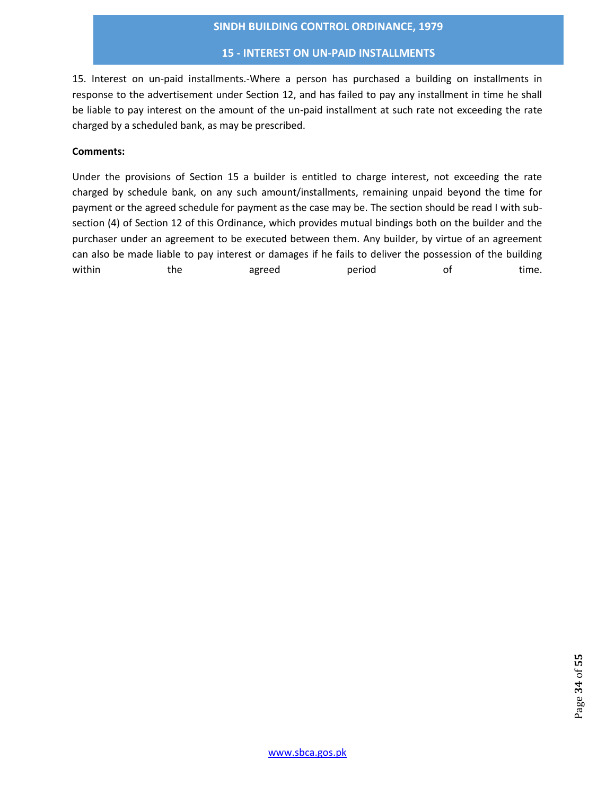## **15 - INTEREST ON UN-PAID INSTALLMENTS**

15. Interest on un-paid installments.-Where a person has purchased a building on installments in response to the advertisement under Section 12, and has failed to pay any installment in time he shall be liable to pay interest on the amount of the un-paid installment at such rate not exceeding the rate charged by a scheduled bank, as may be prescribed.

## **Comments:**

Under the provisions of Section 15 a builder is entitled to charge interest, not exceeding the rate charged by schedule bank, on any such amount/installments, remaining unpaid beyond the time for payment or the agreed schedule for payment as the case may be. The section should be read I with subsection (4) of Section 12 of this Ordinance, which provides mutual bindings both on the builder and the purchaser under an agreement to be executed between them. Any builder, by virtue of an agreement can also be made liable to pay interest or damages if he fails to deliver the possession of the building within the agreed period of time.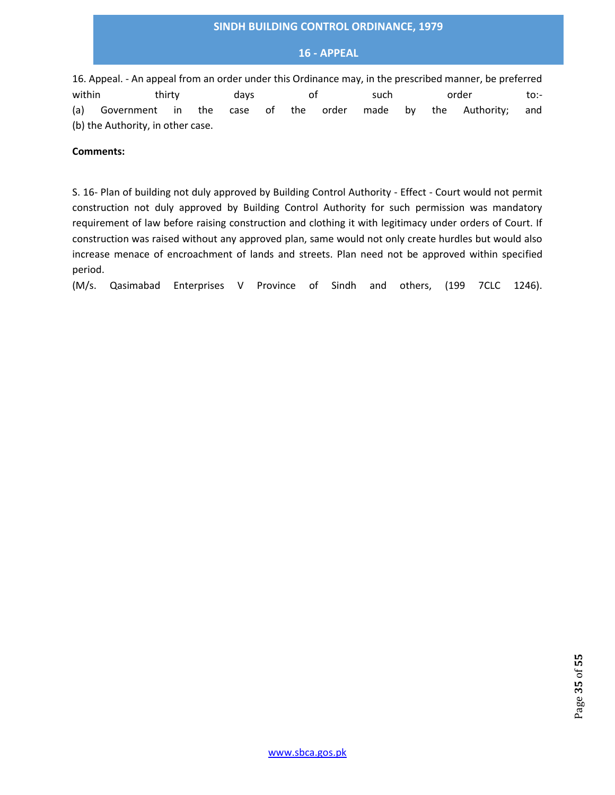## **16 - APPEAL**

16. Appeal. - An appeal from an order under this Ordinance may, in the prescribed manner, be preferred within thirty days of such order to:-(a) Government in the case of the order made by the Authority; and (b) the Authority, in other case.

#### **Comments:**

S. 16- Plan of building not duly approved by Building Control Authority - Effect - Court would not permit construction not duly approved by Building Control Authority for such permission was mandatory requirement of law before raising construction and clothing it with legitimacy under orders of Court. If construction was raised without any approved plan, same would not only create hurdles but would also increase menace of encroachment of lands and streets. Plan need not be approved within specified period.

(M/s. Qasimabad Enterprises V Province of Sindh and others, (199 7CLC 1246).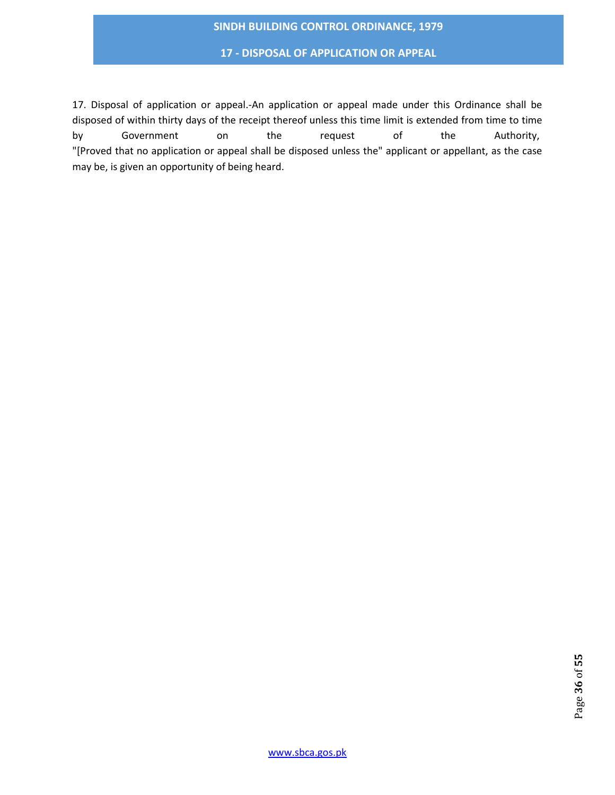**17 - DISPOSAL OF APPLICATION OR APPEAL**

17. Disposal of application or appeal.-An application or appeal made under this Ordinance shall be disposed of within thirty days of the receipt thereof unless this time limit is extended from time to time by Government on the request of the Authority, "[Proved that no application or appeal shall be disposed unless the" applicant or appellant, as the case may be, is given an opportunity of being heard.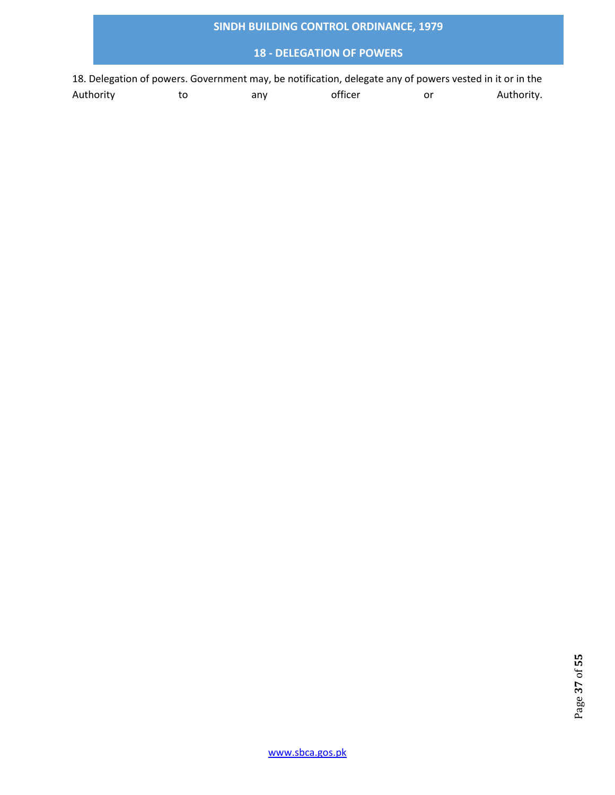# **18 - DELEGATION OF POWERS**

18. Delegation of powers. Government may, be notification, delegate any of powers vested in it or in the Authority to any officer or Authority.

www.sbca.gos.pk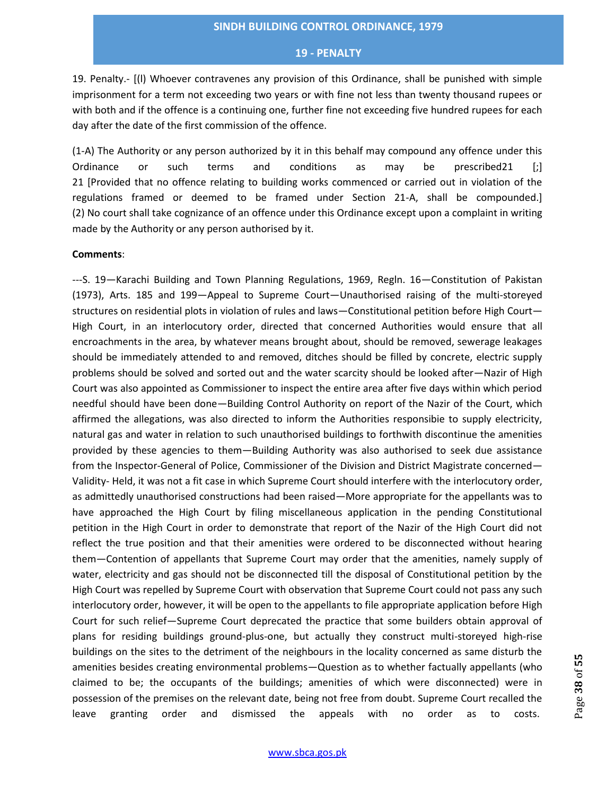19. Penalty.- [(l) Whoever contravenes any provision of this Ordinance, shall be punished with simple imprisonment for a term not exceeding two years or with fine not less than twenty thousand rupees or with both and if the offence is a continuing one, further fine not exceeding five hundred rupees for each day after the date of the first commission of the offence.

(1-A) The Authority or any person authorized by it in this behalf may compound any offence under this Ordinance or such terms and conditions as may be prescribed21 [;] 21 [Provided that no offence relating to building works commenced or carried out in violation of the regulations framed or deemed to be framed under Section 21-A, shall be compounded.] (2) No court shall take cognizance of an offence under this Ordinance except upon a complaint in writing made by the Authority or any person authorised by it.

#### **Comments**:

---S. 19—Karachi Building and Town Planning Regulations, 1969, Regln. 16—Constitution of Pakistan (1973), Arts. 185 and 199—Appeal to Supreme Court—Unauthorised raising of the multi-storeyed structures on residential plots in violation of rules and laws—Constitutional petition before High Court— High Court, in an interlocutory order, directed that concerned Authorities would ensure that all encroachments in the area, by whatever means brought about, should be removed, sewerage leakages should be immediately attended to and removed, ditches should be filled by concrete, electric supply problems should be solved and sorted out and the water scarcity should be looked after—Nazir of High Court was also appointed as Commissioner to inspect the entire area after five days within which period needful should have been done—Building Control Authority on report of the Nazir of the Court, which affirmed the allegations, was also directed to inform the Authorities responsibie to supply electricity, natural gas and water in relation to such unauthorised buildings to forthwith discontinue the amenities provided by these agencies to them—Building Authority was also authorised to seek due assistance from the Inspector-General of Police, Commissioner of the Division and District Magistrate concerned— Validity- Held, it was not a fit case in which Supreme Court should interfere with the interlocutory order, as admittedly unauthorised constructions had been raised—More appropriate for the appellants was to have approached the High Court by filing miscellaneous application in the pending Constitutional petition in the High Court in order to demonstrate that report of the Nazir of the High Court did not reflect the true position and that their amenities were ordered to be disconnected without hearing them—Contention of appellants that Supreme Court may order that the amenities, namely supply of water, electricity and gas should not be disconnected till the disposal of Constitutional petition by the High Court was repelled by Supreme Court with observation that Supreme Court could not pass any such interlocutory order, however, it will be open to the appellants to file appropriate application before High Court for such relief—Supreme Court deprecated the practice that some builders obtain approval of plans for residing buildings ground-plus-one, but actually they construct multi-storeyed high-rise buildings on the sites to the detriment of the neighbours in the locality concerned as same disturb the amenities besides creating environmental problems—Question as to whether factually appellants (who claimed to be; the occupants of the buildings; amenities of which were disconnected) were in possession of the premises on the relevant date, being not free from doubt. Supreme Court recalled the leave granting order and dismissed the appeals with no order as to costs.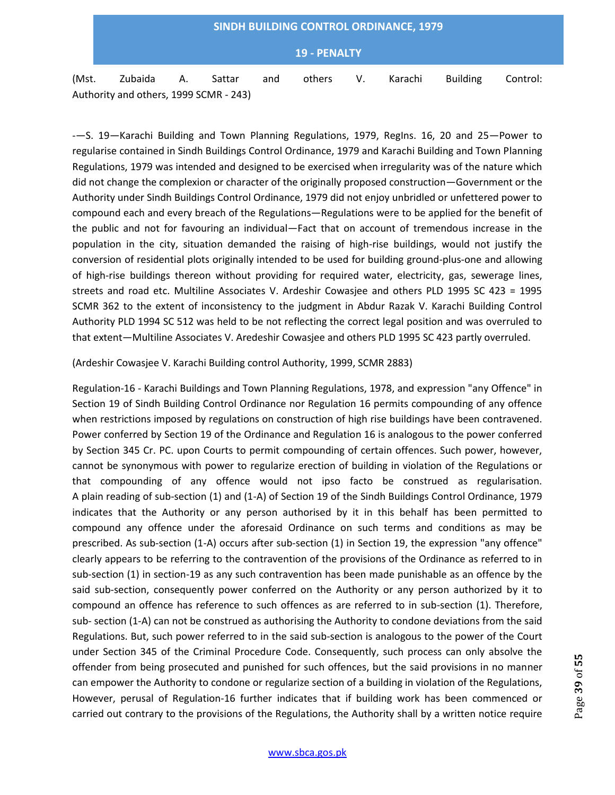# **SINDH BUILDING CONTROL ORDINANCE, 1979 19 - PENALTY** (Mst. Zubaida A. Sattar and others V. Karachi Building Control: Authority and others, 1999 SCMR - 243)

-—S. 19—Karachi Building and Town Planning Regulations, 1979, RegIns. 16, 20 and 25—Power to regularise contained in Sindh Buildings Control Ordinance, 1979 and Karachi Building and Town Planning Regulations, 1979 was intended and designed to be exercised when irregularity was of the nature which did not change the complexion or character of the originally proposed construction—Government or the Authority under Sindh Buildings Control Ordinance, 1979 did not enjoy unbridled or unfettered power to compound each and every breach of the Regulations—Regulations were to be applied for the benefit of the public and not for favouring an individual—Fact that on account of tremendous increase in the population in the city, situation demanded the raising of high-rise buildings, would not justify the conversion of residential plots originally intended to be used for building ground-plus-one and allowing of high-rise buildings thereon without providing for required water, electricity, gas, sewerage lines, streets and road etc. Multiline Associates V. Ardeshir Cowasjee and others PLD 1995 SC 423 = 1995 SCMR 362 to the extent of inconsistency to the judgment in Abdur Razak V. Karachi Building Control Authority PLD 1994 SC 512 was held to be not reflecting the correct legal position and was overruled to that extent—Multiline Associates V. Aredeshir Cowasjee and others PLD 1995 SC 423 partly overruled.

## (Ardeshir Cowasjee V. Karachi Building control Authority, 1999, SCMR 2883)

Regulation-16 - Karachi Buildings and Town Planning Regulations, 1978, and expression "any Offence" in Section 19 of Sindh Building Control Ordinance nor Regulation 16 permits compounding of any offence when restrictions imposed by regulations on construction of high rise buildings have been contravened. Power conferred by Section 19 of the Ordinance and Regulation 16 is analogous to the power conferred by Section 345 Cr. PC. upon Courts to permit compounding of certain offences. Such power, however, cannot be synonymous with power to regularize erection of building in violation of the Regulations or that compounding of any offence would not ipso facto be construed as regularisation. A plain reading of sub-section (1) and (1-A) of Section 19 of the Sindh Buildings Control Ordinance, 1979 indicates that the Authority or any person authorised by it in this behalf has been permitted to compound any offence under the aforesaid Ordinance on such terms and conditions as may be prescribed. As sub-section (1-A) occurs after sub-section (1) in Section 19, the expression "any offence" clearly appears to be referring to the contravention of the provisions of the Ordinance as referred to in sub-section (1) in section-19 as any such contravention has been made punishable as an offence by the said sub-section, consequently power conferred on the Authority or any person authorized by it to compound an offence has reference to such offences as are referred to in sub-section (1). Therefore, sub- section (1-A) can not be construed as authorising the Authority to condone deviations from the said Regulations. But, such power referred to in the said sub-section is analogous to the power of the Court under Section 345 of the Criminal Procedure Code. Consequently, such process can only absolve the offender from being prosecuted and punished for such offences, but the said provisions in no manner can empower the Authority to condone or regularize section of a building in violation of the Regulations, However, perusal of Regulation-16 further indicates that if building work has been commenced or carried out contrary to the provisions of the Regulations, the Authority shall by a written notice require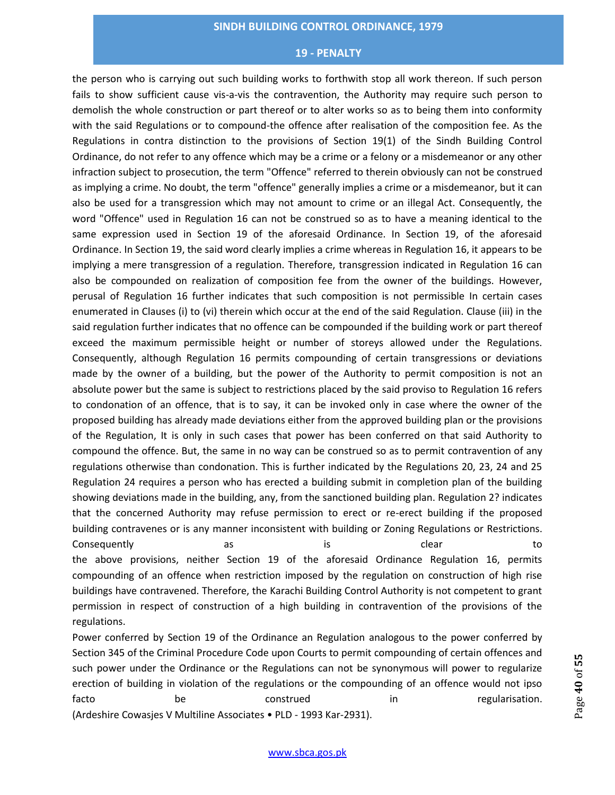the person who is carrying out such building works to forthwith stop all work thereon. If such person fails to show sufficient cause vis-a-vis the contravention, the Authority may require such person to demolish the whole construction or part thereof or to alter works so as to being them into conformity with the said Regulations or to compound-the offence after realisation of the composition fee. As the Regulations in contra distinction to the provisions of Section 19(1) of the Sindh Building Control Ordinance, do not refer to any offence which may be a crime or a felony or a misdemeanor or any other infraction subject to prosecution, the term "Offence" referred to therein obviously can not be construed as implying a crime. No doubt, the term "offence" generally implies a crime or a misdemeanor, but it can also be used for a transgression which may not amount to crime or an illegal Act. Consequently, the word "Offence" used in Regulation 16 can not be construed so as to have a meaning identical to the same expression used in Section 19 of the aforesaid Ordinance. In Section 19, of the aforesaid Ordinance. In Section 19, the said word clearly implies a crime whereas in Regulation 16, it appears to be implying a mere transgression of a regulation. Therefore, transgression indicated in Regulation 16 can also be compounded on realization of composition fee from the owner of the buildings. However, perusal of Regulation 16 further indicates that such composition is not permissible In certain cases enumerated in Clauses (i) to (vi) therein which occur at the end of the said Regulation. Clause (iii) in the said regulation further indicates that no offence can be compounded if the building work or part thereof exceed the maximum permissible height or number of storeys allowed under the Regulations. Consequently, although Regulation 16 permits compounding of certain transgressions or deviations made by the owner of a building, but the power of the Authority to permit composition is not an absolute power but the same is subject to restrictions placed by the said proviso to Regulation 16 refers to condonation of an offence, that is to say, it can be invoked only in case where the owner of the proposed building has already made deviations either from the approved building plan or the provisions of the Regulation, It is only in such cases that power has been conferred on that said Authority to compound the offence. But, the same in no way can be construed so as to permit contravention of any regulations otherwise than condonation. This is further indicated by the Regulations 20, 23, 24 and 25 Regulation 24 requires a person who has erected a building submit in completion plan of the building showing deviations made in the building, any, from the sanctioned building plan. Regulation 2? indicates that the concerned Authority may refuse permission to erect or re-erect building if the proposed building contravenes or is any manner inconsistent with building or Zoning Regulations or Restrictions. Consequently **as** as is clear to to the above provisions, neither Section 19 of the aforesaid Ordinance Regulation 16, permits compounding of an offence when restriction imposed by the regulation on construction of high rise buildings have contravened. Therefore, the Karachi Building Control Authority is not competent to grant permission in respect of construction of a high building in contravention of the provisions of the regulations.

Power conferred by Section 19 of the Ordinance an Regulation analogous to the power conferred by Section 345 of the Criminal Procedure Code upon Courts to permit compounding of certain offences and such power under the Ordinance or the Regulations can not be synonymous will power to regularize erection of building in violation of the regulations or the compounding of an offence would not ipso facto be construed in the regularisation. (Ardeshire Cowasjes V Multiline Associates • PLD - 1993 Kar-2931).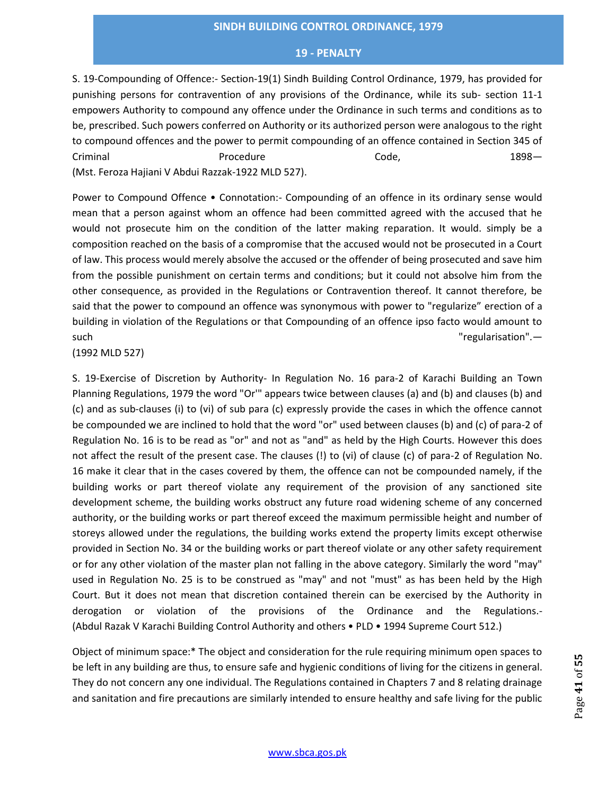S. 19-Compounding of Offence:- Section-19(1) Sindh Building Control Ordinance, 1979, has provided for punishing persons for contravention of any provisions of the Ordinance, while its sub- section 11-1 empowers Authority to compound any offence under the Ordinance in such terms and conditions as to be, prescribed. Such powers conferred on Authority or its authorized person were analogous to the right to compound offences and the power to permit compounding of an offence contained in Section 345 of Criminal **Contract Contract Contract Code**, **Code**, **1898**— (Mst. Feroza Hajiani V Abdui Razzak-1922 MLD 527).

Power to Compound Offence • Connotation:- Compounding of an offence in its ordinary sense would mean that a person against whom an offence had been committed agreed with the accused that he would not prosecute him on the condition of the latter making reparation. It would. simply be a composition reached on the basis of a compromise that the accused would not be prosecuted in a Court of law. This process would merely absolve the accused or the offender of being prosecuted and save him from the possible punishment on certain terms and conditions; but it could not absolve him from the other consequence, as provided in the Regulations or Contravention thereof. It cannot therefore, be said that the power to compound an offence was synonymous with power to "regularize" erection of a building in violation of the Regulations or that Compounding of an offence ipso facto would amount to such the contract of the contract of the contract of the contract of the contract of the contract of the contract of the contract of the contract of the contract of the contract of the contract of the contract of the contr

(1992 MLD 527)

S. 19-Exercise of Discretion by Authority- In Regulation No. 16 para-2 of Karachi Building an Town Planning Regulations, 1979 the word "Or'" appears twice between clauses (a) and (b) and clauses (b) and (c) and as sub-clauses (i) to (vi) of sub para (c) expressly provide the cases in which the offence cannot be compounded we are inclined to hold that the word "or" used between clauses (b) and (c) of para-2 of Regulation No. 16 is to be read as "or" and not as "and" as held by the High Courts. However this does not affect the result of the present case. The clauses (!) to (vi) of clause (c) of para-2 of Regulation No. 16 make it clear that in the cases covered by them, the offence can not be compounded namely, if the building works or part thereof violate any requirement of the provision of any sanctioned site development scheme, the building works obstruct any future road widening scheme of any concerned authority, or the building works or part thereof exceed the maximum permissible height and number of storeys allowed under the regulations, the building works extend the property limits except otherwise provided in Section No. 34 or the building works or part thereof violate or any other safety requirement or for any other violation of the master plan not falling in the above category. Similarly the word "may" used in Regulation No. 25 is to be construed as "may" and not "must" as has been held by the High Court. But it does not mean that discretion contained therein can be exercised by the Authority in derogation or violation of the provisions of the Ordinance and the Regulations.- (Abdul Razak V Karachi Building Control Authority and others • PLD • 1994 Supreme Court 512.)

Object of minimum space:\* The object and consideration for the rule requiring minimum open spaces to be left in any building are thus, to ensure safe and hygienic conditions of living for the citizens in general. They do not concern any one individual. The Regulations contained in Chapters 7 and 8 relating drainage and sanitation and fire precautions are similarly intended to ensure healthy and safe living for the public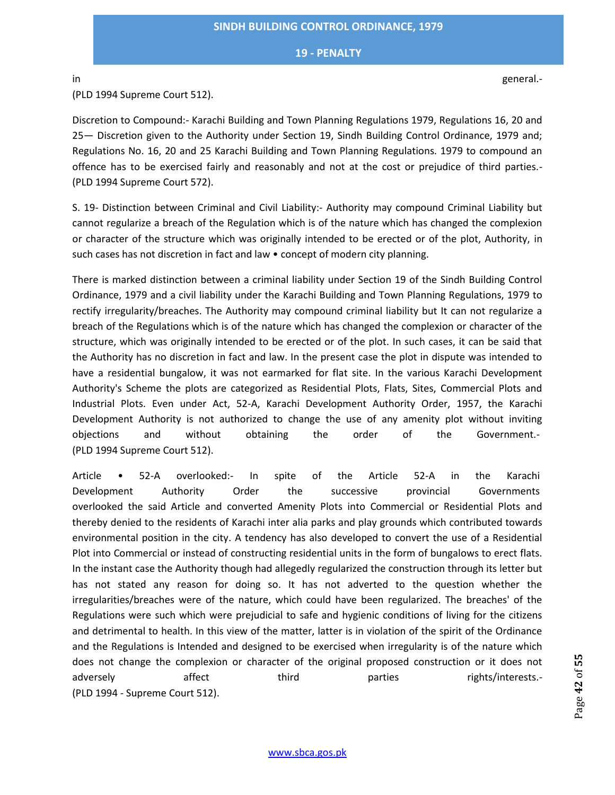(PLD 1994 Supreme Court 512).

Discretion to Compound:- Karachi Building and Town Planning Regulations 1979, Regulations 16, 20 and 25— Discretion given to the Authority under Section 19, Sindh Building Control Ordinance, 1979 and; Regulations No. 16, 20 and 25 Karachi Building and Town Planning Regulations. 1979 to compound an offence has to be exercised fairly and reasonably and not at the cost or prejudice of third parties.- (PLD 1994 Supreme Court 572).

S. 19- Distinction between Criminal and Civil Liability:- Authority may compound Criminal Liability but cannot regularize a breach of the Regulation which is of the nature which has changed the complexion or character of the structure which was originally intended to be erected or of the plot, Authority, in such cases has not discretion in fact and law • concept of modern city planning.

There is marked distinction between a criminal liability under Section 19 of the Sindh Building Control Ordinance, 1979 and a civil liability under the Karachi Building and Town Planning Regulations, 1979 to rectify irregularity/breaches. The Authority may compound criminal liability but It can not regularize a breach of the Regulations which is of the nature which has changed the complexion or character of the structure, which was originally intended to be erected or of the plot. In such cases, it can be said that the Authority has no discretion in fact and law. In the present case the plot in dispute was intended to have a residential bungalow, it was not earmarked for flat site. In the various Karachi Development Authority's Scheme the plots are categorized as Residential Plots, Flats, Sites, Commercial Plots and Industrial Plots. Even under Act, 52-A, Karachi Development Authority Order, 1957, the Karachi Development Authority is not authorized to change the use of any amenity plot without inviting objections and without obtaining the order of the Government.- (PLD 1994 Supreme Court 512).

Article • 52-A overlooked:- In spite of the Article 52-A in the Karachi Development Authority Order the successive provincial Governments overlooked the said Article and converted Amenity Plots into Commercial or Residential Plots and thereby denied to the residents of Karachi inter alia parks and play grounds which contributed towards environmental position in the city. A tendency has also developed to convert the use of a Residential Plot into Commercial or instead of constructing residential units in the form of bungalows to erect flats. In the instant case the Authority though had allegedly regularized the construction through its letter but has not stated any reason for doing so. It has not adverted to the question whether the irregularities/breaches were of the nature, which could have been regularized. The breaches' of the Regulations were such which were prejudicial to safe and hygienic conditions of living for the citizens and detrimental to health. In this view of the matter, latter is in violation of the spirit of the Ordinance and the Regulations is Intended and designed to be exercised when irregularity is of the nature which does not change the complexion or character of the original proposed construction or it does not adversely affect third parties rights/interests.-(PLD 1994 - Supreme Court 512).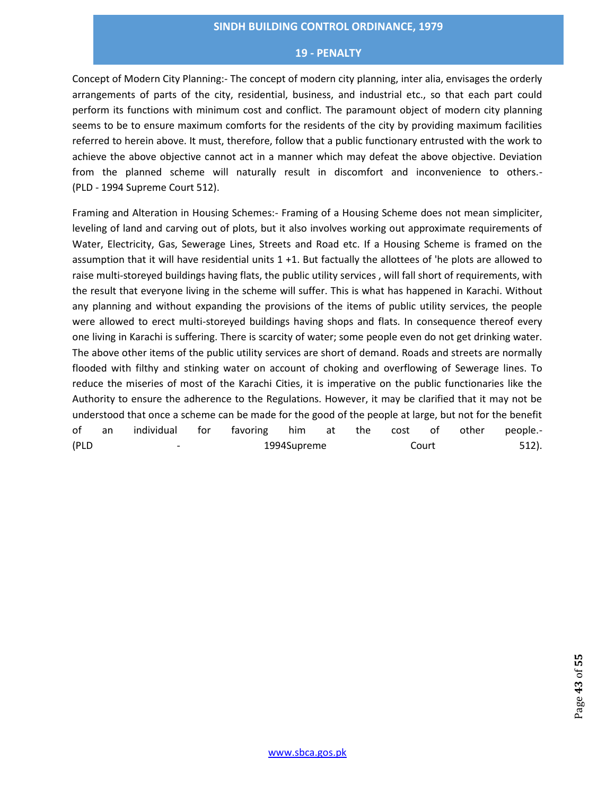Concept of Modern City Planning:- The concept of modern city planning, inter alia, envisages the orderly arrangements of parts of the city, residential, business, and industrial etc., so that each part could perform its functions with minimum cost and conflict. The paramount object of modern city planning seems to be to ensure maximum comforts for the residents of the city by providing maximum facilities referred to herein above. It must, therefore, follow that a public functionary entrusted with the work to achieve the above objective cannot act in a manner which may defeat the above objective. Deviation from the planned scheme will naturally result in discomfort and inconvenience to others.- (PLD - 1994 Supreme Court 512).

Framing and Alteration in Housing Schemes:- Framing of a Housing Scheme does not mean simpliciter, leveling of land and carving out of plots, but it also involves working out approximate requirements of Water, Electricity, Gas, Sewerage Lines, Streets and Road etc. If a Housing Scheme is framed on the assumption that it will have residential units 1 +1. But factually the allottees of 'he plots are allowed to raise multi-storeyed buildings having flats, the public utility services , will fall short of requirements, with the result that everyone living in the scheme will suffer. This is what has happened in Karachi. Without any planning and without expanding the provisions of the items of public utility services, the people were allowed to erect multi-storeyed buildings having shops and flats. In consequence thereof every one living in Karachi is suffering. There is scarcity of water; some people even do not get drinking water. The above other items of the public utility services are short of demand. Roads and streets are normally flooded with filthy and stinking water on account of choking and overflowing of Sewerage lines. To reduce the miseries of most of the Karachi Cities, it is imperative on the public functionaries like the Authority to ensure the adherence to the Regulations. However, it may be clarified that it may not be understood that once a scheme can be made for the good of the people at large, but not for the benefit of an individual for favoring him at the cost of other people.- (PLD - 1994Supreme Court 512).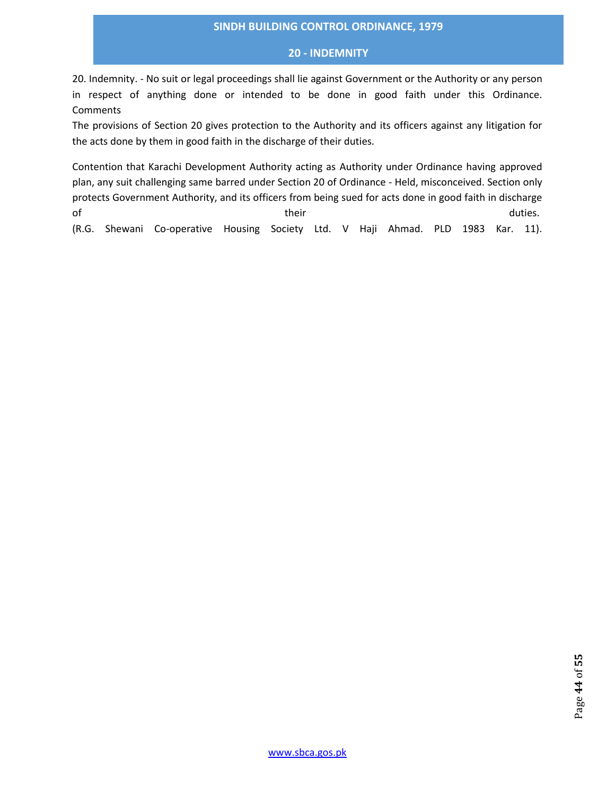## **20 - INDEMNITY**

20. Indemnity. - No suit or legal proceedings shall lie against Government or the Authority or any person in respect of anything done or intended to be done in good faith under this Ordinance. **Comments** 

The provisions of Section 20 gives protection to the Authority and its officers against any litigation for the acts done by them in good faith in the discharge of their duties.

Contention that Karachi Development Authority acting as Authority under Ordinance having approved plan, any suit challenging same barred under Section 20 of Ordinance - Held, misconceived. Section only protects Government Authority, and its officers from being sued for acts done in good faith in discharge of their their their contracts of their their their contracts of the duties.

(R.G. Shewani Co-operative Housing Society Ltd. V Haji Ahmad. PLD 1983 Kar. 11).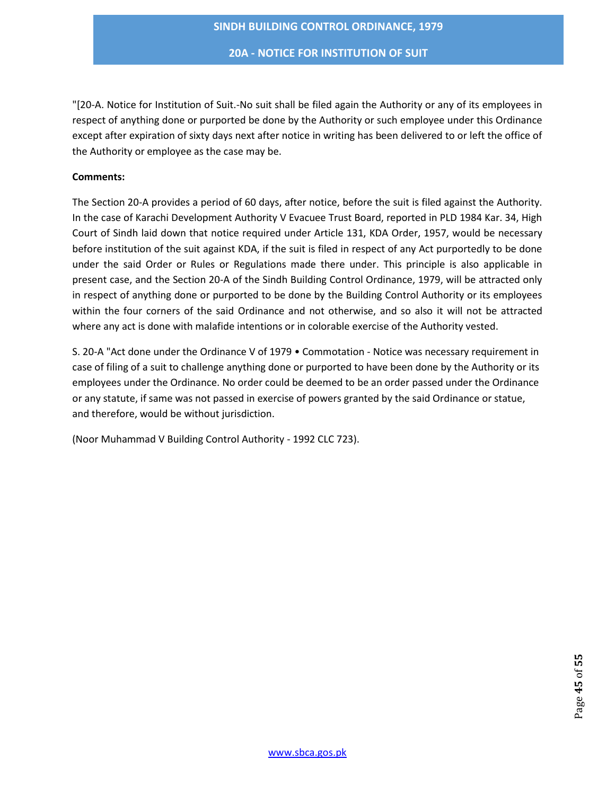**20A - NOTICE FOR INSTITUTION OF SUIT**

"[20-A. Notice for Institution of Suit.-No suit shall be filed again the Authority or any of its employees in respect of anything done or purported be done by the Authority or such employee under this Ordinance except after expiration of sixty days next after notice in writing has been delivered to or left the office of the Authority or employee as the case may be.

## **Comments:**

The Section 20-A provides a period of 60 days, after notice, before the suit is filed against the Authority. In the case of Karachi Development Authority V Evacuee Trust Board, reported in PLD 1984 Kar. 34, High Court of Sindh laid down that notice required under Article 131, KDA Order, 1957, would be necessary before institution of the suit against KDA, if the suit is filed in respect of any Act purportedly to be done under the said Order or Rules or Regulations made there under. This principle is also applicable in present case, and the Section 20-A of the Sindh Building Control Ordinance, 1979, will be attracted only in respect of anything done or purported to be done by the Building Control Authority or its employees within the four corners of the said Ordinance and not otherwise, and so also it will not be attracted where any act is done with malafide intentions or in colorable exercise of the Authority vested.

S. 20-A "Act done under the Ordinance V of 1979 • Commotation - Notice was necessary requirement in case of filing of a suit to challenge anything done or purported to have been done by the Authority or its employees under the Ordinance. No order could be deemed to be an order passed under the Ordinance or any statute, if same was not passed in exercise of powers granted by the said Ordinance or statue, and therefore, would be without jurisdiction.

(Noor Muhammad V Building Control Authority - 1992 CLC 723).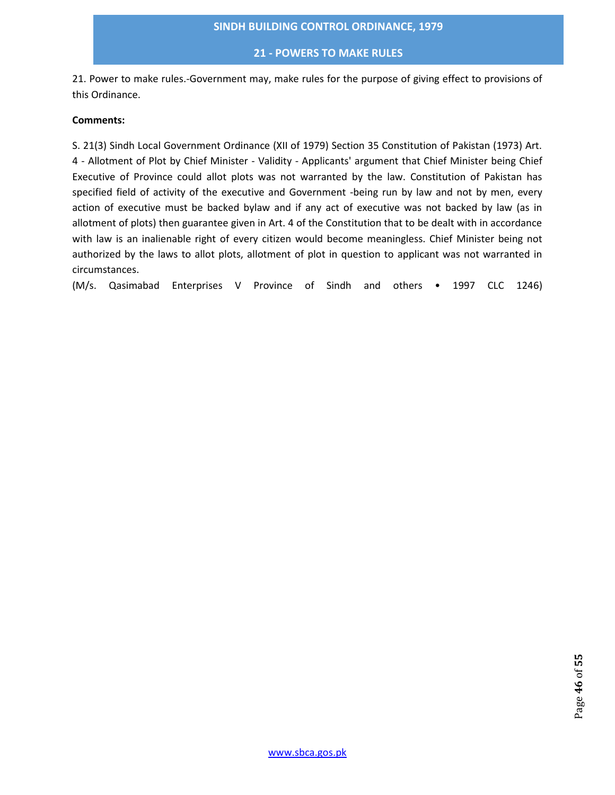## **21 - POWERS TO MAKE RULES**

21. Power to make rules.-Government may, make rules for the purpose of giving effect to provisions of this Ordinance.

## **Comments:**

S. 21(3) Sindh Local Government Ordinance (XII of 1979) Section 35 Constitution of Pakistan (1973) Art. 4 - Allotment of Plot by Chief Minister - Validity - Applicants' argument that Chief Minister being Chief Executive of Province could allot plots was not warranted by the law. Constitution of Pakistan has specified field of activity of the executive and Government -being run by law and not by men, every action of executive must be backed bylaw and if any act of executive was not backed by law (as in allotment of plots) then guarantee given in Art. 4 of the Constitution that to be dealt with in accordance with law is an inalienable right of every citizen would become meaningless. Chief Minister being not authorized by the laws to allot plots, allotment of plot in question to applicant was not warranted in circumstances.

(M/s. Qasimabad Enterprises V Province of Sindh and others • 1997 CLC 1246)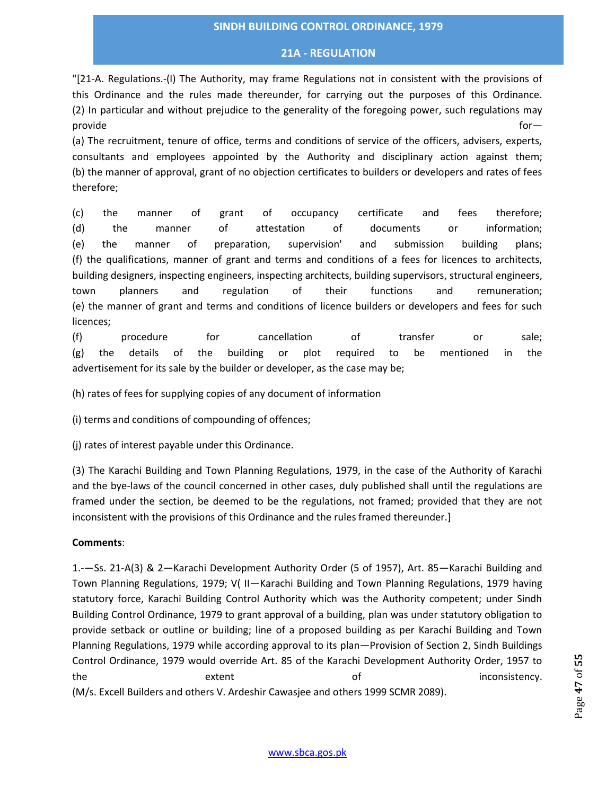## **21A - REGULATION**

"[21-A. Regulations.-(l) The Authority, may frame Regulations not in consistent with the provisions of this Ordinance and the rules made thereunder, for carrying out the purposes of this Ordinance. (2) In particular and without prejudice to the generality of the foregoing power, such regulations may provide for—

(a) The recruitment, tenure of office, terms and conditions of service of the officers, advisers, experts, consultants and employees appointed by the Authority and disciplinary action against them; (b) the manner of approval, grant of no objection certificates to builders or developers and rates of fees therefore;

(c) the manner of grant of occupancy certificate and fees therefore; (d) the manner of attestation of documents or information; (e) the manner of preparation, supervision' and submission building plans; (f) the qualifications, manner of grant and terms and conditions of a fees for licences to architects, building designers, inspecting engineers, inspecting architects, building supervisors, structural engineers, town planners and regulation of their functions and remuneration; (e) the manner of grant and terms and conditions of licence builders or developers and fees for such licences;

(f) procedure for cancellation of transfer or sale; (g) the details of the building or plot required to be mentioned in the advertisement for its sale by the builder or developer, as the case may be;

(h) rates of fees for supplying copies of any document of information

(i) terms and conditions of compounding of offences;

(j) rates of interest payable under this Ordinance.

(3) The Karachi Building and Town Planning Regulations, 1979, in the case of the Authority of Karachi and the bye-laws of the council concerned in other cases, duly published shall until the regulations are framed under the section, be deemed to be the regulations, not framed; provided that they are not inconsistent with the provisions of this Ordinance and the rules framed thereunder.]

## **Comments**:

1.-—Ss. 21-A(3) & 2—Karachi Development Authority Order (5 of 1957), Art. 85—Karachi Building and Town Planning Regulations, 1979; V( II—Karachi Building and Town Planning Regulations, 1979 having statutory force, Karachi Building Control Authority which was the Authority competent; under Sindh Building Control Ordinance, 1979 to grant approval of a building, plan was under statutory obligation to provide setback or outline or building; line of a proposed building as per Karachi Building and Town Planning Regulations, 1979 while according approval to its plan—Provision of Section 2, Sindh Buildings Control Ordinance, 1979 would override Art. 85 of the Karachi Development Authority Order, 1957 to the extent extent of inconsistency. (M/s. Excell Builders and others V. Ardeshir Cawasjee and others 1999 SCMR 2089).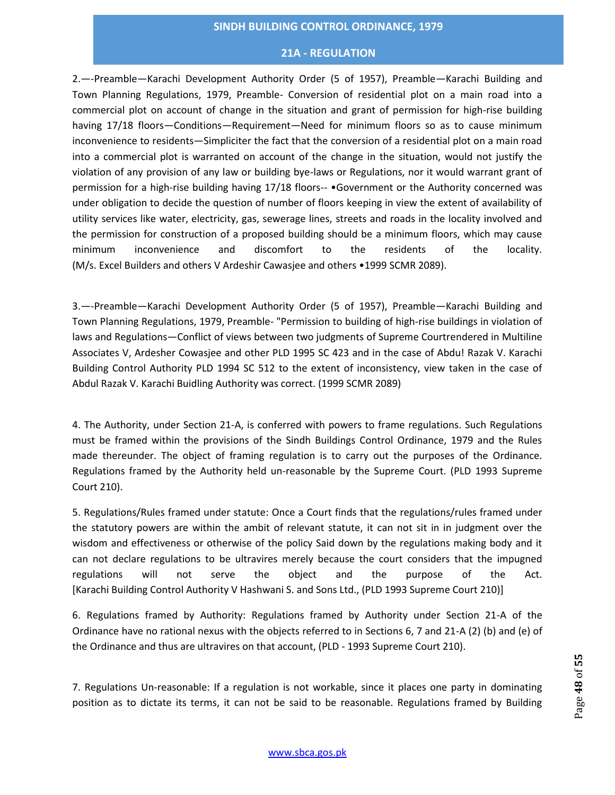## **21A - REGULATION**

2.—-Preamble—Karachi Development Authority Order (5 of 1957), Preamble—Karachi Building and Town Planning Regulations, 1979, Preamble- Conversion of residential plot on a main road into a commercial plot on account of change in the situation and grant of permission for high-rise building having 17/18 floors—Conditions—Requirement—Need for minimum floors so as to cause minimum inconvenience to residents—Simpliciter the fact that the conversion of a residential plot on a main road into a commercial plot is warranted on account of the change in the situation, would not justify the violation of any provision of any law or building bye-laws or Regulations, nor it would warrant grant of permission for a high-rise building having 17/18 floors-- •Government or the Authority concerned was under obligation to decide the question of number of floors keeping in view the extent of availability of utility services like water, electricity, gas, sewerage lines, streets and roads in the locality involved and the permission for construction of a proposed building should be a minimum floors, which may cause minimum inconvenience and discomfort to the residents of the locality. (M/s. Excel Builders and others V Ardeshir Cawasjee and others •1999 SCMR 2089).

3.—-Preamble—Karachi Development Authority Order (5 of 1957), Preamble—Karachi Building and Town Planning Regulations, 1979, Preamble- "Permission to building of high-rise buildings in violation of laws and Regulations—Conflict of views between two judgments of Supreme Courtrendered in Multiline Associates V, Ardesher Cowasjee and other PLD 1995 SC 423 and in the case of Abdu! Razak V. Karachi Building Control Authority PLD 1994 SC 512 to the extent of inconsistency, view taken in the case of Abdul Razak V. Karachi Buidling Authority was correct. (1999 SCMR 2089)

4. The Authority, under Section 21-A, is conferred with powers to frame regulations. Such Regulations must be framed within the provisions of the Sindh Buildings Control Ordinance, 1979 and the Rules made thereunder. The object of framing regulation is to carry out the purposes of the Ordinance. Regulations framed by the Authority held un-reasonable by the Supreme Court. (PLD 1993 Supreme Court 210).

5. Regulations/Rules framed under statute: Once a Court finds that the regulations/rules framed under the statutory powers are within the ambit of relevant statute, it can not sit in in judgment over the wisdom and effectiveness or otherwise of the policy Said down by the regulations making body and it can not declare regulations to be ultravires merely because the court considers that the impugned regulations will not serve the object and the purpose of the Act. [Karachi Building Control Authority V Hashwani S. and Sons Ltd., (PLD 1993 Supreme Court 210)]

6. Regulations framed by Authority: Regulations framed by Authority under Section 21-A of the Ordinance have no rational nexus with the objects referred to in Sections 6, 7 and 21-A (2) (b) and (e) of the Ordinance and thus are ultravires on that account, (PLD - 1993 Supreme Court 210).

7. Regulations Un-reasonable: If a regulation is not workable, since it places one party in dominating position as to dictate its terms, it can not be said to be reasonable. Regulations framed by Building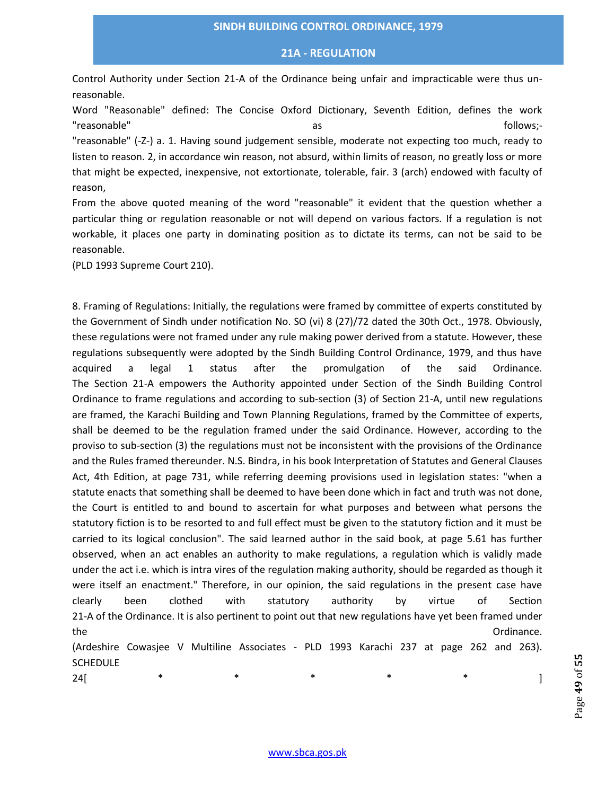#### **21A - REGULATION**

Control Authority under Section 21-A of the Ordinance being unfair and impracticable were thus unreasonable.

Word "Reasonable" defined: The Concise Oxford Dictionary, Seventh Edition, defines the work "reasonable" as follows;-"reasonable" (-Z-) a. 1. Having sound judgement sensible, moderate not expecting too much, ready to listen to reason. 2, in accordance win reason, not absurd, within limits of reason, no greatly loss or more that might be expected, inexpensive, not extortionate, tolerable, fair. 3 (arch) endowed with faculty of reason,

From the above quoted meaning of the word "reasonable" it evident that the question whether a particular thing or regulation reasonable or not will depend on various factors. If a regulation is not workable, it places one party in dominating position as to dictate its terms, can not be said to be reasonable.

(PLD 1993 Supreme Court 210).

8. Framing of Regulations: Initially, the regulations were framed by committee of experts constituted by the Government of Sindh under notification No. SO (vi) 8 (27)/72 dated the 30th Oct., 1978. Obviously, these regulations were not framed under any rule making power derived from a statute. However, these regulations subsequently were adopted by the Sindh Building Control Ordinance, 1979, and thus have acquired a legal 1 status after the promulgation of the said Ordinance. The Section 21-A empowers the Authority appointed under Section of the Sindh Building Control Ordinance to frame regulations and according to sub-section (3) of Section 21-A, until new regulations are framed, the Karachi Building and Town Planning Regulations, framed by the Committee of experts, shall be deemed to be the regulation framed under the said Ordinance. However, according to the proviso to sub-section (3) the regulations must not be inconsistent with the provisions of the Ordinance and the Rules framed thereunder. N.S. Bindra, in his book Interpretation of Statutes and General Clauses Act, 4th Edition, at page 731, while referring deeming provisions used in legislation states: "when a statute enacts that something shall be deemed to have been done which in fact and truth was not done, the Court is entitled to and bound to ascertain for what purposes and between what persons the statutory fiction is to be resorted to and full effect must be given to the statutory fiction and it must be carried to its logical conclusion". The said learned author in the said book, at page 5.61 has further observed, when an act enables an authority to make regulations, a regulation which is validly made under the act i.e. which is intra vires of the regulation making authority, should be regarded as though it were itself an enactment." Therefore, in our opinion, the said regulations in the present case have clearly been clothed with statutory authority by virtue of Section 21-A of the Ordinance. It is also pertinent to point out that new regulations have yet been framed under the Ordinance. (Ardeshire Cowasjee V Multiline Associates - PLD 1993 Karachi 237 at page 262 and 263).

**SCHEDULE** 

24[ \* \* \* \* \* \* \* \* ]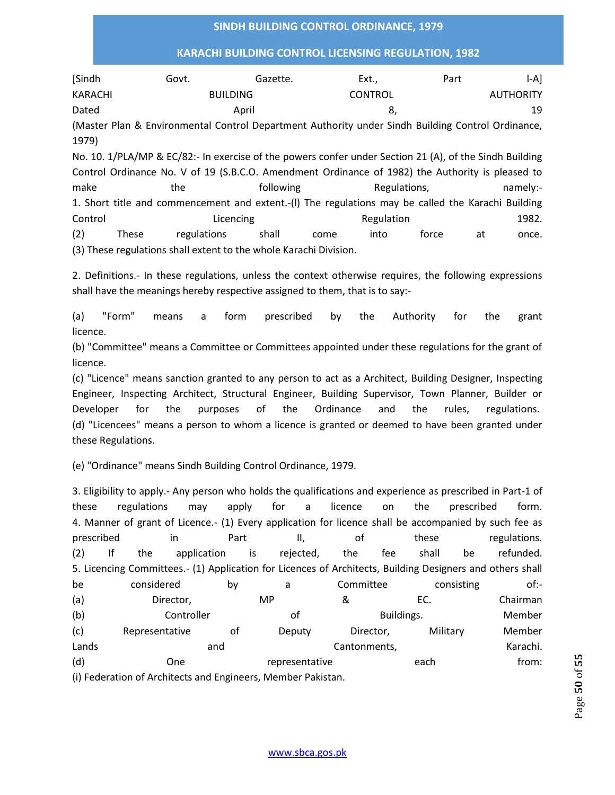## **KARACHI BUILDING CONTROL LICENSING REGULATION, 1982**

| [Sindh         | Govt. | Gazette.        | Ext                                                                                                   | Part | I-A1             |
|----------------|-------|-----------------|-------------------------------------------------------------------------------------------------------|------|------------------|
| <b>KARACHI</b> |       | <b>BUILDING</b> | <b>CONTROL</b>                                                                                        |      | <b>AUTHORITY</b> |
| Dated          |       | April           | 8.                                                                                                    |      | 19               |
| 1979)          |       |                 | (Master Plan & Environmental Control Department Authority under Sindh Building Control Ordinance,     |      |                  |
|                |       |                 | No. 10, 1/PLA/MD & EC/82: In evergica of the nowers confer under Section 21 (A) of the Sindh Building |      |                  |

1/PLA/MP & EC/82:- In exercise of the powers confer under Section 21 (A), of the Sindh Building Control Ordinance No. V of 19 (S.B.C.O. Amendment Ordinance of 1982) the Authority is pleased to make the following Regulations, namely:-1. Short title and commencement and extent.-(l) The regulations may be called the Karachi Building Control Control Licencing Control Regulation 2982. (2) These regulations shall come into force at once. (3) These regulations shall extent to the whole Karachi Division.

2. Definitions.- In these regulations, unless the context otherwise requires, the following expressions shall have the meanings hereby respective assigned to them, that is to say:-

(a) "Form" means a form prescribed by the Authority for the grant licence.

(b) "Committee" means a Committee or Committees appointed under these regulations for the grant of licence.

(c) "Licence" means sanction granted to any person to act as a Architect, Building Designer, Inspecting Engineer, Inspecting Architect, Structural Engineer, Building Supervisor, Town Planner, Builder or Developer for the purposes of the Ordinance and the rules, regulations. (d) "Licencees" means a person to whom a licence is granted or deemed to have been granted under these Regulations.

(e) "Ordinance" means Sindh Building Control Ordinance, 1979.

3. Eligibility to apply.- Any person who holds the qualifications and experience as prescribed in Part-1 of these regulations may apply for a licence on the prescribed form. 4. Manner of grant of Licence.- (1) Every application for licence shall be accompanied by such fee as prescribed in a Part and II, and these regulations. (2) If the application is rejected, the fee shall be refunded. 5. Licencing Committees.- (1) Application for Licences of Architects, Building Designers and others shall be considered by a Committee consisting of:-(a) Director, MP & EC. Chairman (b) Controller of Buildings. Member (c) Representative of Deputy Director, Military Member Lands **Example 20 and Cantonments**, Cantonments, Cantonments, Cantonic Marachi. (d) One representative each from: (i) Federation of Architects and Engineers, Member Pakistan.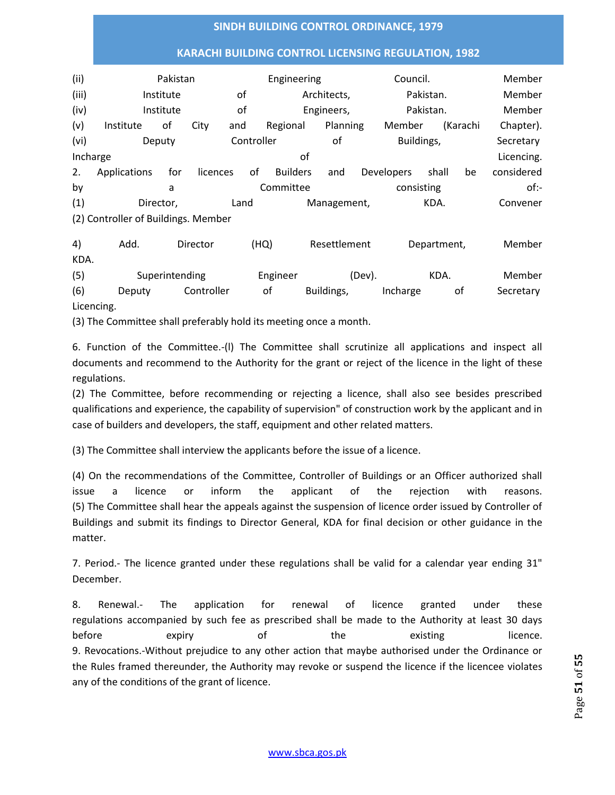## **KARACHI BUILDING CONTROL LICENSING REGULATION, 1982**

| (ii)     | Pakistan                            | Engineering |          |    |                     |                 | Council. |            |                   | Member |          |            |
|----------|-------------------------------------|-------------|----------|----|---------------------|-----------------|----------|------------|-------------------|--------|----------|------------|
| (iii)    | Institute                           |             |          |    | οf                  | Architects,     |          |            | Pakistan.         |        |          | Member     |
| (iv)     | Institute                           |             |          | οf | Engineers,          |                 |          |            | Pakistan.         |        |          | Member     |
| (v)      | Institute                           | οf          | City     |    | Regional<br>and     |                 |          | Planning   | Member            |        | (Karachi | Chapter).  |
| (vi)     |                                     | Deputy      |          |    | Controller<br>οf    |                 |          |            | Buildings,        |        |          | Secretary  |
| Incharge |                                     |             |          |    |                     | οf              |          |            |                   |        |          | Licencing. |
| 2.       | Applications                        | for         | licences |    | οf                  | <b>Builders</b> | and      |            | <b>Developers</b> | shall  | be       | considered |
| by       | a                                   |             |          |    | Committee           |                 |          | consisting |                   |        | $of:-$   |            |
| (1)      | Director,                           |             |          |    | Land<br>Management, |                 |          |            | KDA.              |        |          | Convener   |
|          | (2) Controller of Buildings. Member |             |          |    |                     |                 |          |            |                   |        |          |            |

4) Add. Director (HQ) Resettlement Department, Member KDA. (5) Superintending Engineer (Dev). KDA. Member

(6) Deputy Controller of Buildings, Incharge of Secretary Licencing.

(3) The Committee shall preferably hold its meeting once a month.

6. Function of the Committee.-(l) The Committee shall scrutinize all applications and inspect all documents and recommend to the Authority for the grant or reject of the licence in the light of these regulations.

(2) The Committee, before recommending or rejecting a licence, shall also see besides prescribed qualifications and experience, the capability of supervision" of construction work by the applicant and in case of builders and developers, the staff, equipment and other related matters.

(3) The Committee shall interview the applicants before the issue of a licence.

(4) On the recommendations of the Committee, Controller of Buildings or an Officer authorized shall issue a licence or inform the applicant of the rejection with reasons. (5) The Committee shall hear the appeals against the suspension of licence order issued by Controller of Buildings and submit its findings to Director General, KDA for final decision or other guidance in the matter.

7. Period.- The licence granted under these regulations shall be valid for a calendar year ending 31" December.

8. Renewal.- The application for renewal of licence granted under these regulations accompanied by such fee as prescribed shall be made to the Authority at least 30 days before expiry of the existing licence. 9. Revocations.-Without prejudice to any other action that maybe authorised under the Ordinance or the Rules framed thereunder, the Authority may revoke or suspend the licence if the licencee violates any of the conditions of the grant of licence.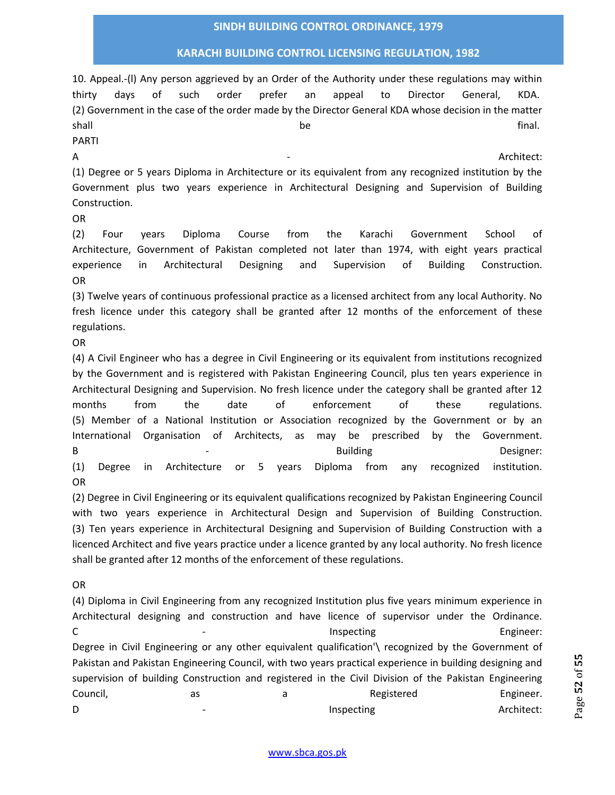## **KARACHI BUILDING CONTROL LICENSING REGULATION, 1982**

10. Appeal.-(l) Any person aggrieved by an Order of the Authority under these regulations may within thirty days of such order prefer an appeal to Director General, KDA. (2) Government in the case of the order made by the Director General KDA whose decision in the matter shall and the final. The set of the set of the set of the set of the set of the set of the set of the set of the set of the set of the set of the set of the set of the set of the set of the set of the set of the set of the

PARTI

A - Architect:

(1) Degree or 5 years Diploma in Architecture or its equivalent from any recognized institution by the Government plus two years experience in Architectural Designing and Supervision of Building Construction.

OR

(2) Four years Diploma Course from the Karachi Government School of Architecture, Government of Pakistan completed not later than 1974, with eight years practical experience in Architectural Designing and Supervision of Building Construction. OR

(3) Twelve years of continuous professional practice as a licensed architect from any local Authority. No fresh licence under this category shall be granted after 12 months of the enforcement of these regulations.

OR

(4) A Civil Engineer who has a degree in Civil Engineering or its equivalent from institutions recognized by the Government and is registered with Pakistan Engineering Council, plus ten years experience in Architectural Designing and Supervision. No fresh licence under the category shall be granted after 12 months from the date of enforcement of these regulations. (5) Member of a National Institution or Association recognized by the Government or by an International Organisation of Architects, as may be prescribed by the Government. B and the state of the Building Contract Contract Designer: (1) Degree in Architecture or 5 years Diploma from any recognized institution. OR

(2) Degree in Civil Engineering or its equivalent qualifications recognized by Pakistan Engineering Council with two years experience in Architectural Design and Supervision of Building Construction. (3) Ten years experience in Architectural Designing and Supervision of Building Construction with a licenced Architect and five years practice under a licence granted by any local authority. No fresh licence shall be granted after 12 months of the enforcement of these regulations.

OR

(4) Diploma in Civil Engineering from any recognized Institution plus five years minimum experience in Architectural designing and construction and have licence of supervisor under the Ordinance. C and the state of the state of the state of the state of the state of the state of the state of the state of the state of the state of the state of the state of the state of the state of the state of the state of the stat Degree in Civil Engineering or any other equivalent qualification'\ recognized by the Government of Pakistan and Pakistan Engineering Council, with two years practical experience in building designing and supervision of building Construction and registered in the Civil Division of the Pakistan Engineering Council, and a Registered Engineer. D **D** and the *D* and *D* and *D* and *D* and *D* and *D* and *D* and *D* and *D* and *D* and *D* and *D* and *D* and *D* and *D* and *D* and *D* and *D* and *D* and *D* and *D* and *D* and *D* and *D* and *D* and *D* and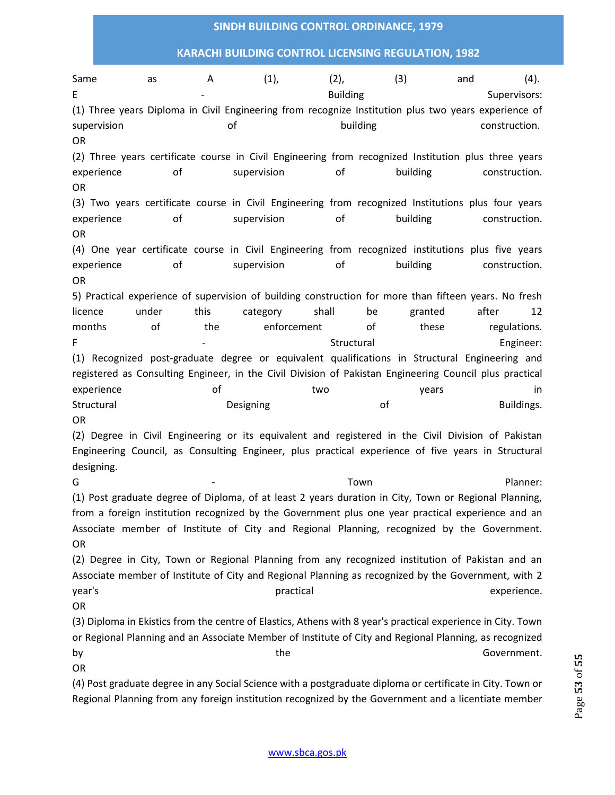## **KARACHI BUILDING CONTROL LICENSING REGULATION, 1982**

Same as A (1), (2), (3) and (4). E Supervisors: The Supervisors: Supervisors: Building Supervisors: Supervisors: (1) Three years Diploma in Civil Engineering from recognize Institution plus two years experience of supervision of building construction. OR (2) Three years certificate course in Civil Engineering from recognized Institution plus three years experience of supervision of building construction. OR (3) Two years certificate course in Civil Engineering from recognized Institutions plus four years experience of supervision of building construction. OR (4) One year certificate course in Civil Engineering from recognized institutions plus five years experience of supervision of building construction. OR 5) Practical experience of supervision of building construction for more than fifteen years. No fresh licence under this category shall be granted after 12 months of the enforcement of these regulations. F F - Structural Engineer: Engineer: Structural Engineer: (1) Recognized post-graduate degree or equivalent qualifications in Structural Engineering and registered as Consulting Engineer, in the Civil Division of Pakistan Engineering Council plus practical experience of of two two years in Structural **Subset Construction Construction** Designing **Construction Construction** Buildings. OR (2) Degree in Civil Engineering or its equivalent and registered in the Civil Division of Pakistan Engineering Council, as Consulting Engineer, plus practical experience of five years in Structural designing. G 5 - Town Town Planner: (1) Post graduate degree of Diploma, of at least 2 years duration in City, Town or Regional Planning, from a foreign institution recognized by the Government plus one year practical experience and an Associate member of Institute of City and Regional Planning, recognized by the Government. OR (2) Degree in City, Town or Regional Planning from any recognized institution of Pakistan and an Associate member of Institute of City and Regional Planning as recognized by the Government, with 2 year's experience. The practical practical practical controller experience. OR (3) Diploma in Ekistics from the centre of Elastics, Athens with 8 year's practical experience in City. Town or Regional Planning and an Associate Member of Institute of City and Regional Planning, as recognized by the the Government. OR

(4) Post graduate degree in any Social Science with a postgraduate diploma or certificate in City. Town or Regional Planning from any foreign institution recognized by the Government and a licentiate member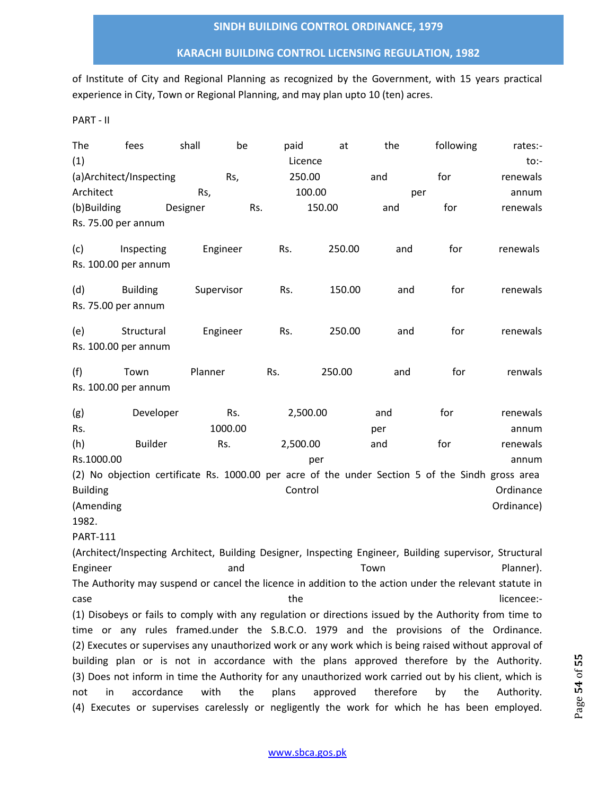## **KARACHI BUILDING CONTROL LICENSING REGULATION, 1982**

of Institute of City and Regional Planning as recognized by the Government, with 15 years practical experience in City, Town or Regional Planning, and may plan upto 10 (ten) acres.

PART - II

| The<br>(1)           | fees                    | shall      | be      | paid<br>Licence | at     | the        | following                                                                                                | rates:-<br>$to:-$ |
|----------------------|-------------------------|------------|---------|-----------------|--------|------------|----------------------------------------------------------------------------------------------------------|-------------------|
|                      | (a)Architect/Inspecting |            | Rs,     | 250.00          |        | and        | for                                                                                                      | renewals          |
| Architect            |                         | Rs,        |         | 100.00          |        |            |                                                                                                          | annum             |
| (b)Building          |                         | Designer   | Rs.     |                 | 150.00 | per<br>and | for                                                                                                      | renewals          |
| Rs. 75.00 per annum  |                         |            |         |                 |        |            |                                                                                                          |                   |
|                      |                         |            |         |                 |        |            |                                                                                                          |                   |
| (c)                  | Inspecting              | Engineer   |         | Rs.             | 250.00 | and        | for                                                                                                      | renewals          |
| Rs. 100.00 per annum |                         |            |         |                 |        |            |                                                                                                          |                   |
| (d)                  | <b>Building</b>         | Supervisor |         | Rs.             | 150.00 | and        | for                                                                                                      | renewals          |
| Rs. 75.00 per annum  |                         |            |         |                 |        |            |                                                                                                          |                   |
| (e)                  | Structural              | Engineer   |         | Rs.             | 250.00 | and        | for                                                                                                      | renewals          |
| Rs. 100.00 per annum |                         |            |         |                 |        |            |                                                                                                          |                   |
| (f)                  | Town                    | Planner    |         | Rs.             | 250.00 | and        | for                                                                                                      | renwals           |
| Rs. 100.00 per annum |                         |            |         |                 |        |            |                                                                                                          |                   |
| (g)                  | Developer               |            | Rs.     | 2,500.00        |        | and        | for                                                                                                      | renewals          |
| Rs.                  |                         |            | 1000.00 |                 |        | per        |                                                                                                          | annum             |
| (h)                  | <b>Builder</b>          | Rs.        |         | 2,500.00        |        | and        | for                                                                                                      | renewals          |
| Rs.1000.00           |                         |            |         |                 | per    |            |                                                                                                          | annum             |
|                      |                         |            |         |                 |        |            | (2) No objection certificate Rs. 1000.00 per acre of the under Section 5 of the Sindh gross area         |                   |
| <b>Building</b>      |                         |            |         | Control         |        |            |                                                                                                          | Ordinance         |
| (Amending            |                         |            |         |                 |        |            |                                                                                                          | Ordinance)        |
| 1982.                |                         |            |         |                 |        |            |                                                                                                          |                   |
| <b>PART-111</b>      |                         |            |         |                 |        |            |                                                                                                          |                   |
|                      |                         |            |         |                 |        |            | (Architect/Inspecting Architect, Building Designer, Inspecting Engineer, Building supervisor, Structural |                   |
| Engineer             |                         |            | and     |                 |        | Town       |                                                                                                          | Planner).         |
|                      |                         |            |         |                 |        |            | The Authority may suspend or cancel the licence in addition to the action under the relevant statute in  |                   |
| case                 |                         |            |         | the             |        |            |                                                                                                          | licencee:-        |
|                      |                         |            |         |                 |        |            | (1) Disobeys or fails to comply with any regulation or directions issued by the Authority from time to   |                   |
|                      |                         |            |         |                 |        |            | time or any rules framed.under the S.B.C.O. 1979 and the provisions of the Ordinance.                    |                   |
|                      |                         |            |         |                 |        |            | (2) Executes or supervises any unauthorized work or any work which is being raised without approval of   |                   |

building plan or is not in accordance with the plans approved therefore by the Authority. (3) Does not inform in time the Authority for any unauthorized work carried out by his client, which is not in accordance with the plans approved therefore by the Authority. (4) Executes or supervises carelessly or negligently the work for which he has been employed.